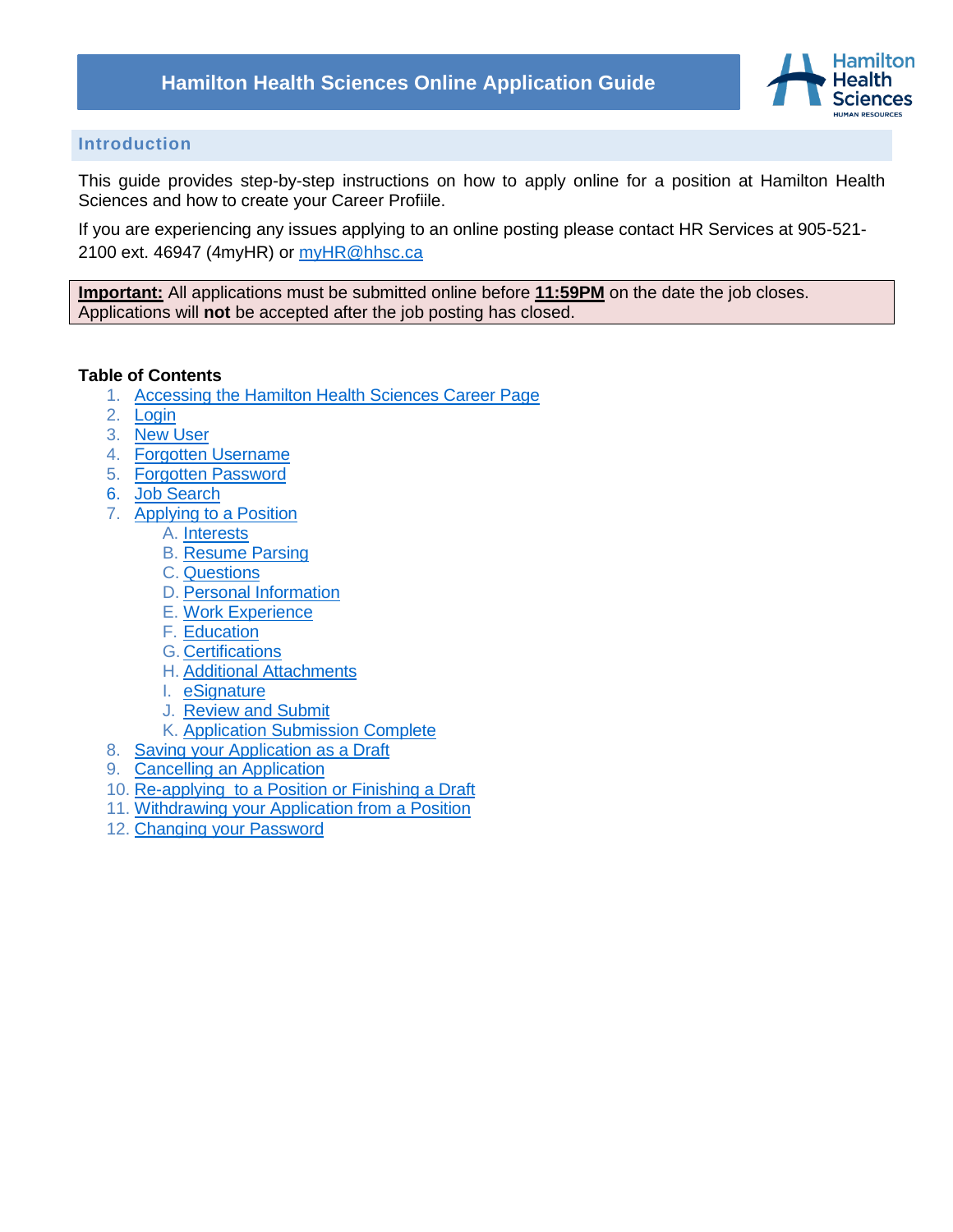

### **Introduction**

This guide provides step-by-step instructions on how to apply online for a position at Hamilton Health Sciences and how to create your Career Profiile.

If you are experiencing any issues applying to an online posting please contact HR Services at 905-521 2100 ext. 46947 (4myHR) or [myHR@hhsc.ca](mailto:myHR@hhsc.ca)

**Important:** All applications must be submitted online before **11:59PM** on the date the job closes. Applications will **not** be accepted after the job posting has closed.

#### **Table of Contents**

- 1. [Accessing the Hamilton Health Sciences Career Page](#page-1-0)
- 2. [Login](#page-1-1)
- 3. [New User](#page-2-0)
- 4. [Forgotten Username](#page-3-0)
- 5. [Forgotten Password](#page-4-0)
- 6. [Job Search](#page-6-0)
- 7. [Applying to a Position](#page-7-0)
	- A. [Interests](#page-8-0)
	- B. [Resume Parsing](#page-9-0)
	- C. [Questions](#page-10-0)
	- D. [Personal Information](#page-11-0)
	- E. [Work Experience](#page-12-0)
	- F. [Education](#page-13-0)
	- G. [Certifications](#page-14-0)
	- H. [Additional Attachments](#page-15-0)
	- I. [eSignature](#page-17-0)
	- J. [Review and Submit](#page-17-1)
	- K. [Application Submission Complete](#page-18-0)
- 8. Saving your Application as a Draft
- 9. [Cancelling an Application](#page-19-0)
- 10. [Re-applying to a Position or Finishing a Draft](#page-20-0)
- 11. [Withdrawing your Application from a Position](#page-20-1)
- 12. [Changing your Password](#page-21-0)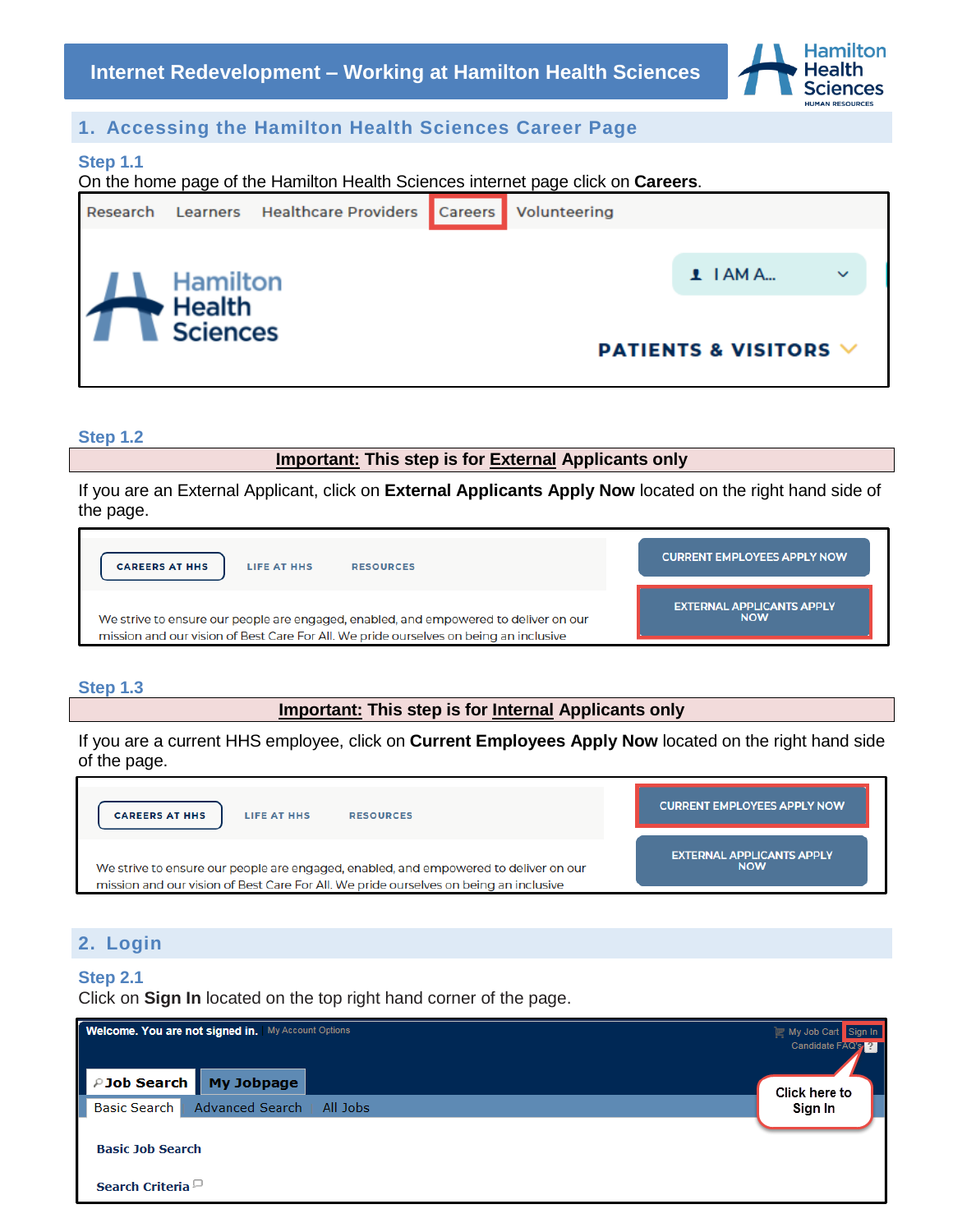

## <span id="page-1-0"></span>**1. Accessing the Hamilton Health Sciences Career Page**

#### **Step 1.1**

On the home page of the Hamilton Health Sciences internet page click on **Careers**.



**Step 1.2**

**Important: This step is for External Applicants only**

If you are an External Applicant, click on **External Applicants Apply Now** located on the right hand side of the page.

| <b>CAREERS AT HHS</b><br>LIFE AT HHS<br><b>RESOURCES</b>                              | <b>CURRENT EMPLOYEES APPLY NOW</b> |
|---------------------------------------------------------------------------------------|------------------------------------|
| We strive to ensure our people are engaged, enabled, and empowered to deliver on our  | <b>EXTERNAL APPLICANTS APPLY</b>   |
| mission and our vision of Best Care For All. We pride ourselves on being an inclusive | <b>NOW</b>                         |

### **Step 1.3**

**Important: This step is for Internal Applicants only**

If you are a current HHS employee, click on **Current Employees Apply Now** located on the right hand side of the page.



## <span id="page-1-1"></span>**2. Login**

#### **Step 2.1**

Click on **Sign In** located on the top right hand corner of the page.

| <b>Welcome. You are not signed in.</b> My Account Options | My Job Cart Sign In<br>Candidate FAQ's <b>PA</b> |
|-----------------------------------------------------------|--------------------------------------------------|
| PJob Search My Jobpage                                    | Click here to                                    |
| <b>Basic Search</b><br>Advanced Search   All Jobs         | Sign In                                          |
| <b>Basic Job Search</b>                                   |                                                  |
| Search Criteria <sup>[1]</sup>                            |                                                  |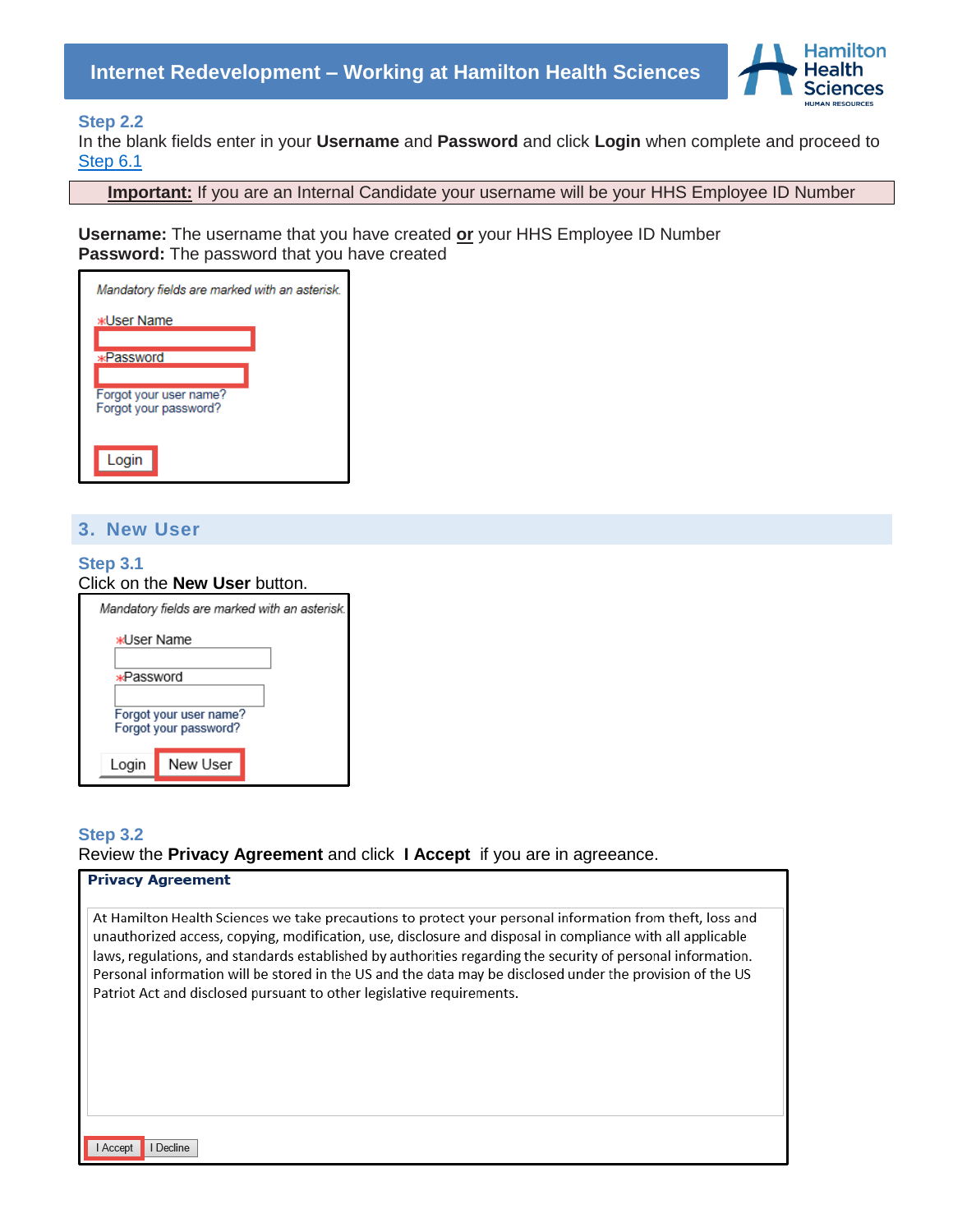

#### **Step 2.2**

In the blank fields enter in your **Username** and **Password** and click **Login** when complete and proceed to [Step 6.1](#page-6-1)

**Important:** If you are an Internal Candidate your username will be your HHS Employee ID Number

**Username:** The username that you have created **or** your HHS Employee ID Number **Password:** The password that you have created

| Mandatory fields are marked with an asterisk.   |  |
|-------------------------------------------------|--|
| <b>*User Name</b>                               |  |
|                                                 |  |
| <b>*Password</b>                                |  |
|                                                 |  |
| Forgot your user name?<br>Forgot your password? |  |
| Login                                           |  |

### <span id="page-2-0"></span>**3. New User**

#### **Step 3.1** Click on the **New User** button.

| Mandatory fields are marked with an asterisk.   |          |
|-------------------------------------------------|----------|
| <b>*User Name</b>                               |          |
| ∗Password                                       |          |
| Forgot your user name?<br>Forgot your password? |          |
| Login                                           | New User |

## **Step 3.2** Review the **Privacy Agreement** and click **I Accept** if you are in agreeance.

| <b>Privacy Agreement</b>                                                                                                                                                                                                                                                                                                                                                                                                                                                                                                     |
|------------------------------------------------------------------------------------------------------------------------------------------------------------------------------------------------------------------------------------------------------------------------------------------------------------------------------------------------------------------------------------------------------------------------------------------------------------------------------------------------------------------------------|
| At Hamilton Health Sciences we take precautions to protect your personal information from theft, loss and<br>unauthorized access, copying, modification, use, disclosure and disposal in compliance with all applicable<br>laws, regulations, and standards established by authorities regarding the security of personal information.<br>Personal information will be stored in the US and the data may be disclosed under the provision of the US<br>Patriot Act and disclosed pursuant to other legislative requirements. |
| Decline<br>l Accept                                                                                                                                                                                                                                                                                                                                                                                                                                                                                                          |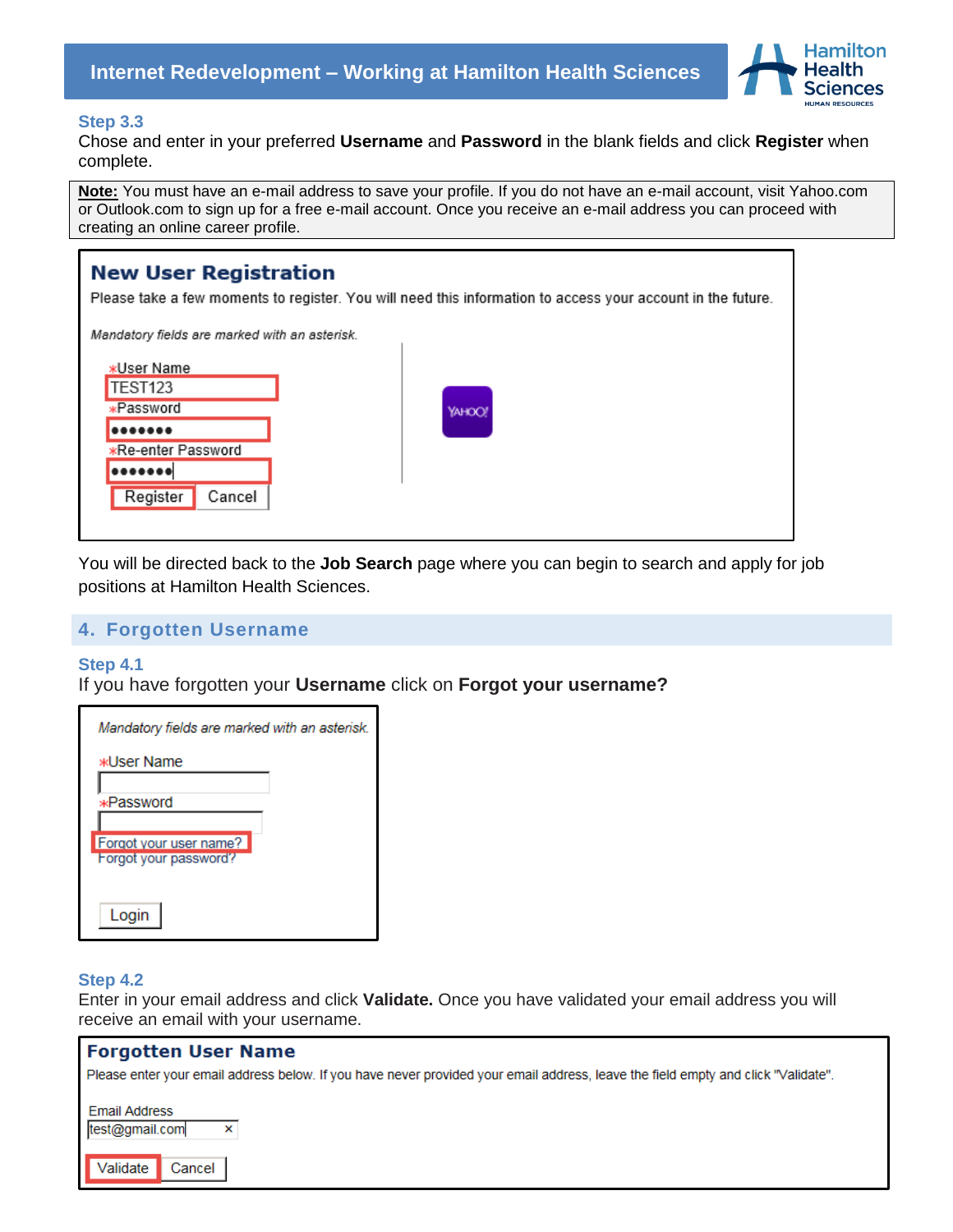

#### **Step 3.3**

Chose and enter in your preferred **Username** and **Password** in the blank fields and click **Register** when complete.

**Note:** You must have an e-mail address to save your profile. If you do not have an e-mail account, visit Yahoo.com or Outlook.com to sign up for a free e-mail account. Once you receive an e-mail address you can proceed with creating an online career profile.

| <b>New User Registration</b>                                                              | Please take a few moments to register. You will need this information to access your account in the future. |
|-------------------------------------------------------------------------------------------|-------------------------------------------------------------------------------------------------------------|
| Mandatory fields are marked with an asterisk.                                             |                                                                                                             |
| *User Name<br><b>TEST123</b><br>*Password<br><br>*Re-enter Password<br>Register<br>Cancel | YAHOO!                                                                                                      |

You will be directed back to the **Job Search** page where you can begin to search and apply for job positions at Hamilton Health Sciences.

#### <span id="page-3-0"></span>**4. Forgotten Username**

#### **Step 4.1**

If you have forgotten your **Username** click on **Forgot your username?** 

| Mandatory fields are marked with an asterisk. |  |
|-----------------------------------------------|--|
| жUser Name                                    |  |
|                                               |  |
| *Password                                     |  |
|                                               |  |
| Forgot your user name?                        |  |
| Forgot your password?                         |  |
|                                               |  |
| Login                                         |  |

#### **Step 4.2**

Enter in your email address and click **Validate.** Once you have validated your email address you will receive an email with your username.

| <b>Forgotten User Name</b>                                                                                                        |
|-----------------------------------------------------------------------------------------------------------------------------------|
| Please enter your email address below. If you have never provided your email address, leave the field empty and click "Validate". |
| <b>Email Address</b><br>test@gmail.com<br>$\times$                                                                                |
| Validate Cancel                                                                                                                   |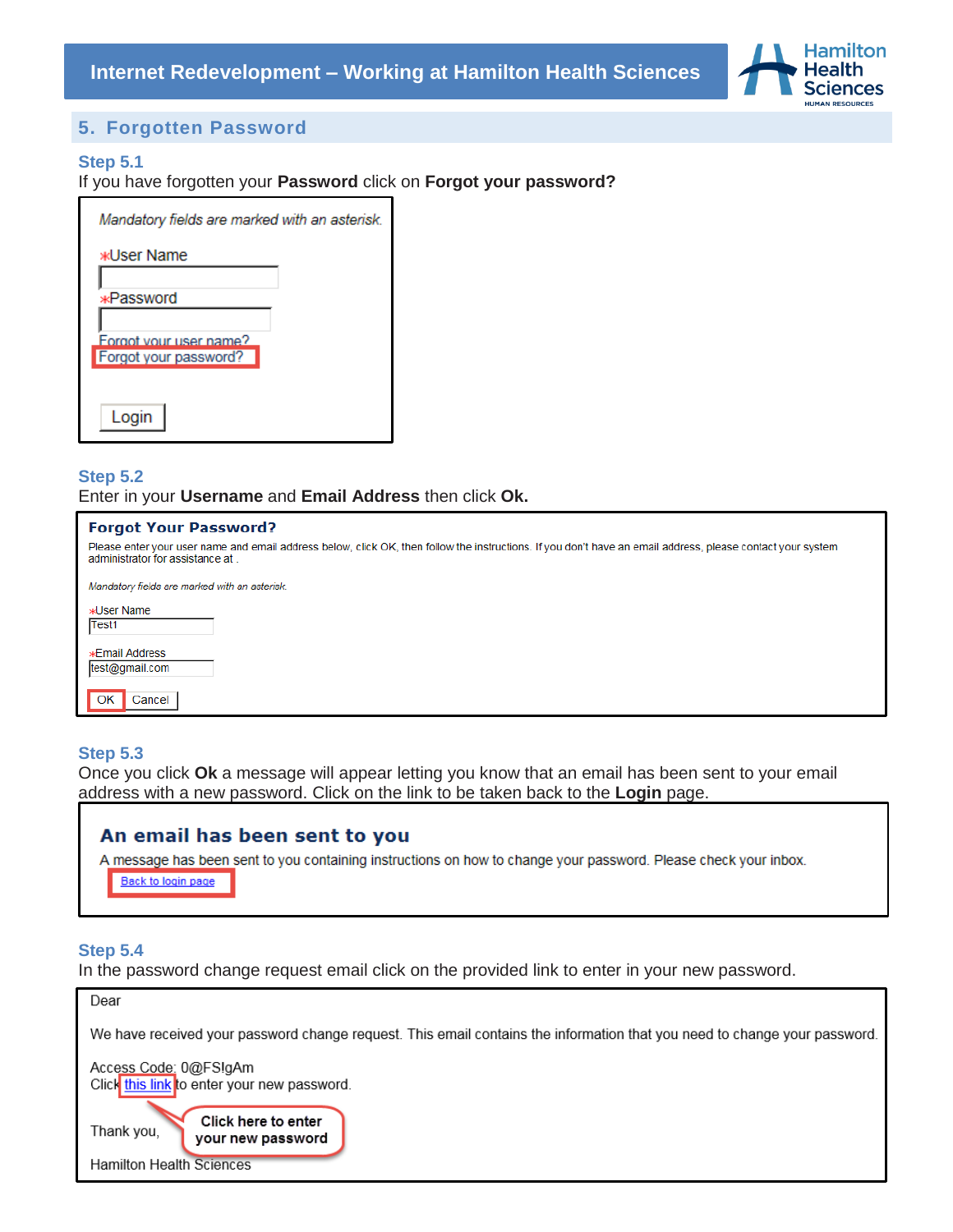

## **5. Forgotten Password**

#### <span id="page-4-0"></span>**Step 5.1**

If you have forgotten your **Password** click on **Forgot your password?**

| Mandatory fields are marked with an asterisk |
|----------------------------------------------|
| жUser Name                                   |
|                                              |
| *Password                                    |
|                                              |
| Forgot your user name?                       |
| Forgot your password?                        |
|                                              |
|                                              |

### **Step 5.2** Enter in your **Username** and **Email Address** then click **Ok.**

#### **Forgot Your Password?**

Please enter your user name and email address below, click OK, then follow the instructions. If you don't have an email address, please contact your system administrator for assistance at.

Mandatory fields are marked with an asterisk.

| »d Iser Name<br>Test1                   |        |  |
|-----------------------------------------|--------|--|
| <b>*Email Address</b><br>test@gmail.com |        |  |
| OK                                      | Cancel |  |

#### **Step 5.3**

Once you click **Ok** a message will appear letting you know that an email has been sent to your email address with a new password. Click on the link to be taken back to the **Login** page.

### An email has been sent to you

A message has been sent to you containing instructions on how to change your password. Please check your inbox.

Back to login page

### **Step 5.4**

In the password change request email click on the provided link to enter in your new password.

| Dear                                                                                                                      |
|---------------------------------------------------------------------------------------------------------------------------|
| We have received your password change request. This email contains the information that you need to change your password. |
| Access Code: 0@FS!gAm<br>Click this link to enter your new password.                                                      |
| Click here to enter<br>Thank you,<br>your new password                                                                    |
| <b>Hamilton Health Sciences</b>                                                                                           |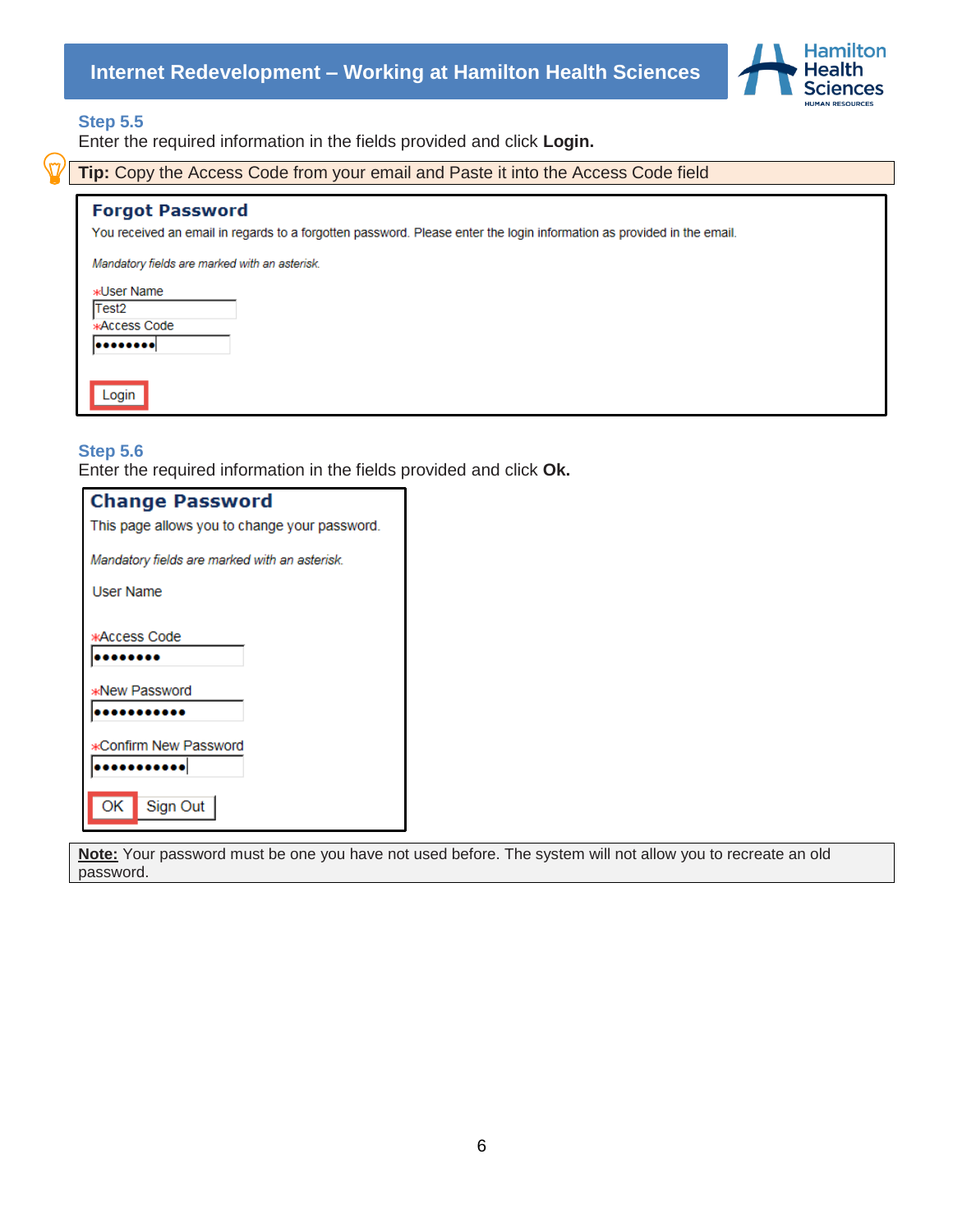

#### **Step 5.5**

Enter the required information in the fields provided and click **Login.**

**Tip:** Copy the Access Code from your email and Paste it into the Access Code field

#### **Forgot Password**

You received an email in regards to a forgotten password. Please enter the login information as provided in the email.

Mandatory fields are marked with an asterisk.

| <b>*User Name</b>   |  |
|---------------------|--|
| Test <sub>2</sub>   |  |
| <b>*Access Code</b> |  |
|                     |  |
|                     |  |
|                     |  |
| Login               |  |

#### **Step 5.6**

Enter the required information in the fields provided and click **Ok.**

| <b>Change Password</b>                        |  |  |  |  |
|-----------------------------------------------|--|--|--|--|
| This page allows you to change your password. |  |  |  |  |
| Mandatory fields are marked with an asterisk. |  |  |  |  |
| User Name                                     |  |  |  |  |
|                                               |  |  |  |  |
| жAccess Code                                  |  |  |  |  |
|                                               |  |  |  |  |
| *New Password                                 |  |  |  |  |
|                                               |  |  |  |  |
| *Confirm New Password                         |  |  |  |  |
|                                               |  |  |  |  |
| ОK<br>Sign Out                                |  |  |  |  |

**Note:** Your password must be one you have not used before. The system will not allow you to recreate an old password.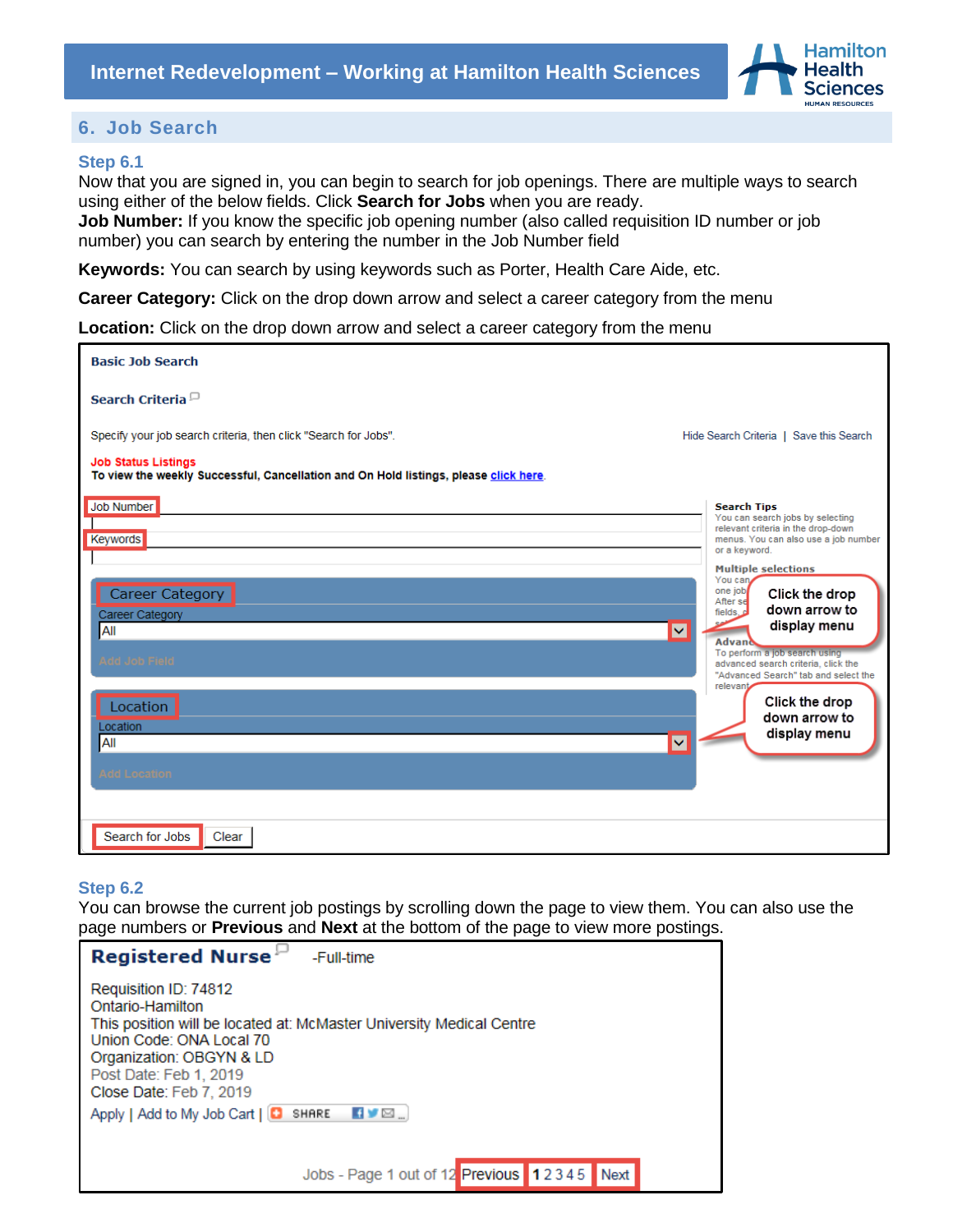

## <span id="page-6-0"></span>**6. Job Search**

#### <span id="page-6-1"></span>**Step 6.1**

Now that you are signed in, you can begin to search for job openings. There are multiple ways to search using either of the below fields. Click **Search for Jobs** when you are ready.

**Job Number:** If you know the specific job opening number (also called requisition ID number or job number) you can search by entering the number in the Job Number field

**Keywords:** You can search by using keywords such as Porter, Health Care Aide, etc.

**Career Category:** Click on the drop down arrow and select a career category from the menu

**Location:** Click on the drop down arrow and select a career category from the menu

| <b>Basic Job Search</b>                                                                                                                                                                               |                                                                                                                                                                                                                                                                                                                                                                                                                                                                                       |
|-------------------------------------------------------------------------------------------------------------------------------------------------------------------------------------------------------|---------------------------------------------------------------------------------------------------------------------------------------------------------------------------------------------------------------------------------------------------------------------------------------------------------------------------------------------------------------------------------------------------------------------------------------------------------------------------------------|
| Search Criteria <sup><math>\Box</math></sup>                                                                                                                                                          |                                                                                                                                                                                                                                                                                                                                                                                                                                                                                       |
| Specify your job search criteria, then click "Search for Jobs".<br><b>Job Status Listings</b>                                                                                                         | Hide Search Criteria   Save this Search                                                                                                                                                                                                                                                                                                                                                                                                                                               |
| To view the weekly Successful, Cancellation and On Hold listings, please click here.                                                                                                                  |                                                                                                                                                                                                                                                                                                                                                                                                                                                                                       |
| <b>Job Number</b><br><b>Keywords</b><br><b>Career Category</b><br>Career Category<br>$\overline{\mathbf{v}}$<br>All<br><b>Add Job Field</b><br>Location<br>Location<br>All<br>$\overline{\mathsf{v}}$ | <b>Search Tips</b><br>You can search jobs by selecting<br>relevant criteria in the drop-down<br>menus. You can also use a job number<br>or a keyword.<br><b>Multiple selections</b><br>You can<br>one job<br>Click the drop<br>After se<br>down arrow to<br>fields. A<br>display menu<br><b>Advand</b><br>To perform a job search using<br>advanced search criteria, click the<br>"Advanced Search" tab and select the<br>relevant<br>Click the drop<br>down arrow to<br>display menu |
| <b>Add Location</b><br>Search for Jobs<br>Clear                                                                                                                                                       |                                                                                                                                                                                                                                                                                                                                                                                                                                                                                       |

#### **Step 6.2**

You can browse the current job postings by scrolling down the page to view them. You can also use the page numbers or **Previous** and **Next** at the bottom of the page to view more postings.

| Registered Nurse <sup>11</sup><br>-Full-time                                                                                                                                                                                   |
|--------------------------------------------------------------------------------------------------------------------------------------------------------------------------------------------------------------------------------|
| Requisition ID: 74812<br>Ontario-Hamilton<br>This position will be located at: McMaster University Medical Centre<br>Union Code: ONA Local 70<br>Organization: OBGYN & LD<br>Post Date: Feb 1, 2019<br>Close Date: Feb 7, 2019 |
| $\blacksquare$<br>Apply   Add to My Job Cart   C SHARE                                                                                                                                                                         |
| Jobs - Page 1 out of 12 Previous 12345 Next                                                                                                                                                                                    |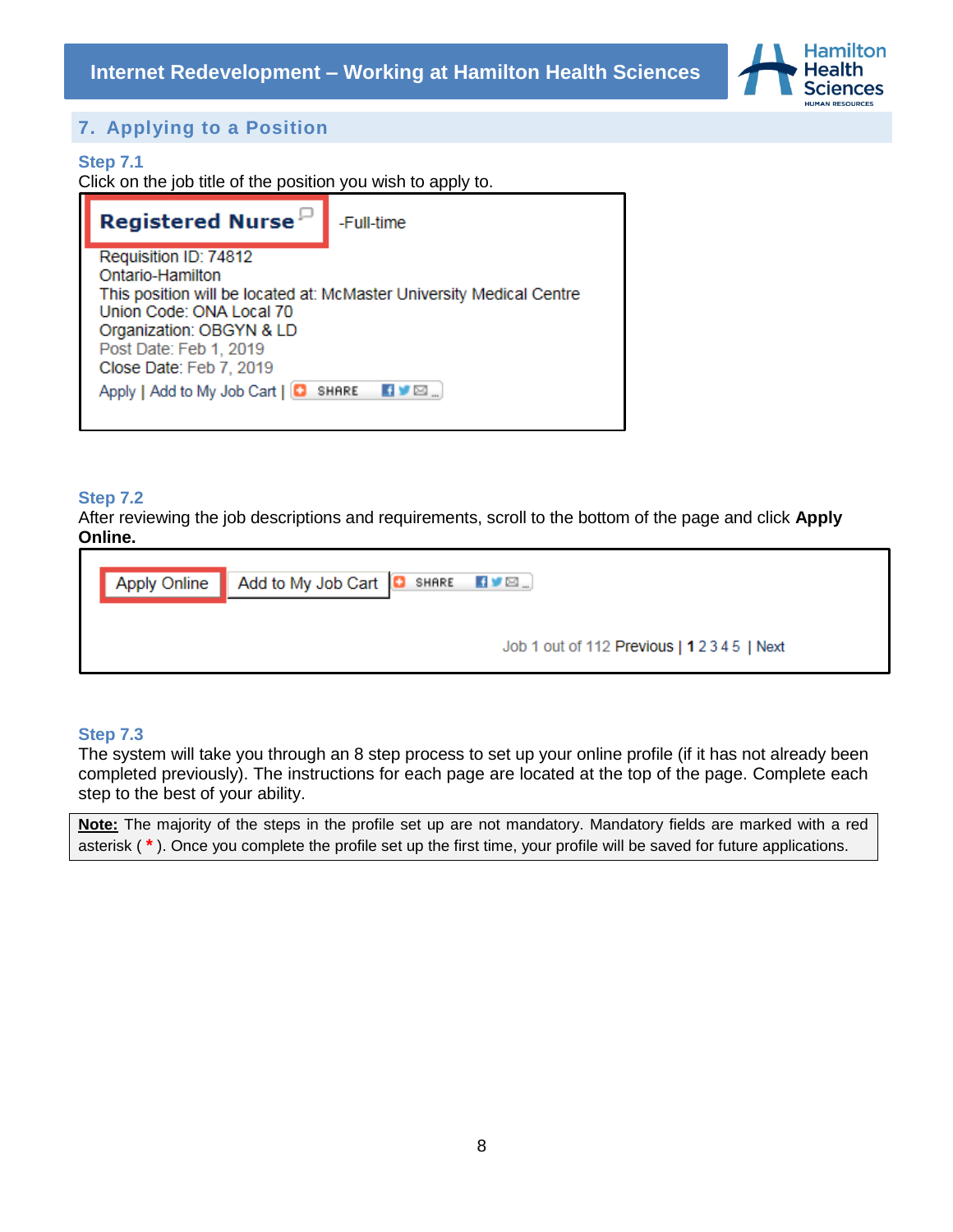

## <span id="page-7-0"></span>**7. Applying to a Position**

#### **Step 7.1**

Click on the job title of the position you wish to apply to.

| <b>Registered Nurse</b>                                                                                                                                | -Full-time                                                           |
|--------------------------------------------------------------------------------------------------------------------------------------------------------|----------------------------------------------------------------------|
| Requisition ID: 74812<br>Ontario-Hamilton<br>Union Code: ONA Local 70<br>Organization: OBGYN & LD<br>Post Date: Feb 1, 2019<br>Close Date: Feb 7, 2019 | This position will be located at: McMaster University Medical Centre |
| Apply   Add to My Job Cart   <b>C</b> SHARE                                                                                                            | VØ.                                                                  |

#### **Step 7.2**

After reviewing the job descriptions and requirements, scroll to the bottom of the page and click **Apply Online.** 

| Apply Online   Add to My Job Cart   C SHARE   BYE |  |
|---------------------------------------------------|--|
| Job 1 out of 112 Previous   12345   Next          |  |

### **Step 7.3**

The system will take you through an 8 step process to set up your online profile (if it has not already been completed previously). The instructions for each page are located at the top of the page. Complete each step to the best of your ability.

**Note:** The majority of the steps in the profile set up are not mandatory. Mandatory fields are marked with a red asterisk ( **\*** ). Once you complete the profile set up the first time, your profile will be saved for future applications.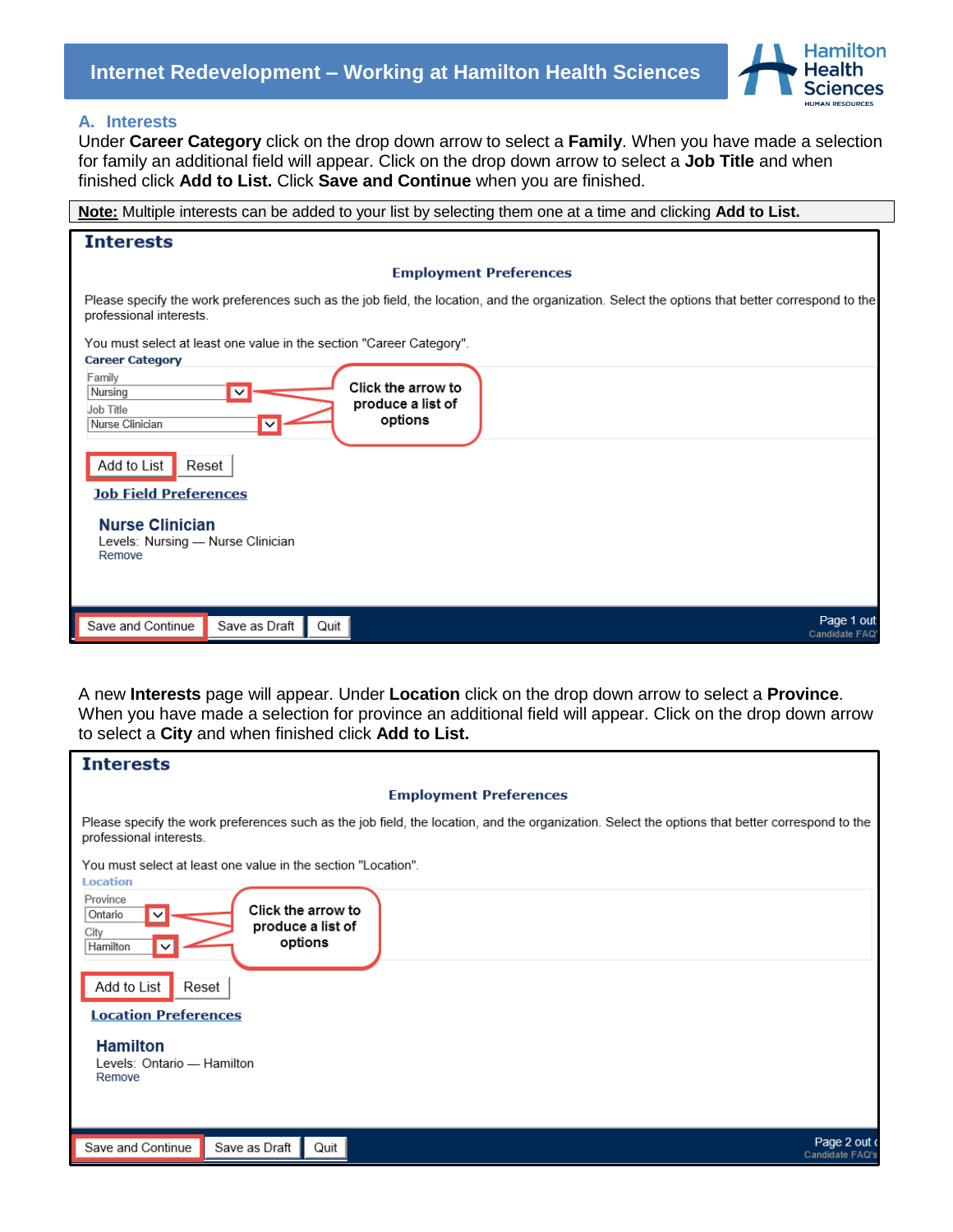

#### <span id="page-8-0"></span>**A. Interests**

Under **Career Category** click on the drop down arrow to select a **Family**. When you have made a selection for family an additional field will appear. Click on the drop down arrow to select a **Job Title** and when finished click **Add to List.** Click **Save and Continue** when you are finished.

| Note: Multiple interests can be added to your list by selecting them one at a time and clicking Add to List.                                                               |
|----------------------------------------------------------------------------------------------------------------------------------------------------------------------------|
| <b>Interests</b>                                                                                                                                                           |
| <b>Employment Preferences</b>                                                                                                                                              |
| Please specify the work preferences such as the job field, the location, and the organization. Select the options that better correspond to the<br>professional interests. |
| You must select at least one value in the section "Career Category".<br><b>Career Category</b>                                                                             |
| Family<br>Click the arrow to<br>Nursing<br>$\checkmark$<br>produce a list of<br>Job Title<br>options<br>Nurse Clinician<br>$\checkmark$                                    |
| Add to List<br>Reset<br><b>Job Field Preferences</b>                                                                                                                       |
| <b>Nurse Clinician</b><br>Levels: Nursing - Nurse Clinician<br>Remove                                                                                                      |
| Page 1 out<br>Save and Continue<br>Save as Draft<br>Quit<br>Candidate FAQ                                                                                                  |

A new **Interests** page will appear. Under **Location** click on the drop down arrow to select a **Province**. When you have made a selection for province an additional field will appear. Click on the drop down arrow to select a **City** and when finished click **Add to List.**

| <b>Interests</b>                                                                                                                                                           |
|----------------------------------------------------------------------------------------------------------------------------------------------------------------------------|
| <b>Employment Preferences</b>                                                                                                                                              |
| Please specify the work preferences such as the job field, the location, and the organization. Select the options that better correspond to the<br>professional interests. |
| You must select at least one value in the section "Location".<br><b>Location</b>                                                                                           |
| Province<br>Click the arrow to<br>Ontario<br>produce a list of<br>City<br>options<br>Hamilton                                                                              |
| Add to List<br>Reset                                                                                                                                                       |
| <b>Location Preferences</b><br><b>Hamilton</b><br>Levels: Ontario - Hamilton<br>Remove                                                                                     |
| Page 2 out o<br>Save and Continue<br>Quit<br>Save as Draft<br>Candidate FAQ's                                                                                              |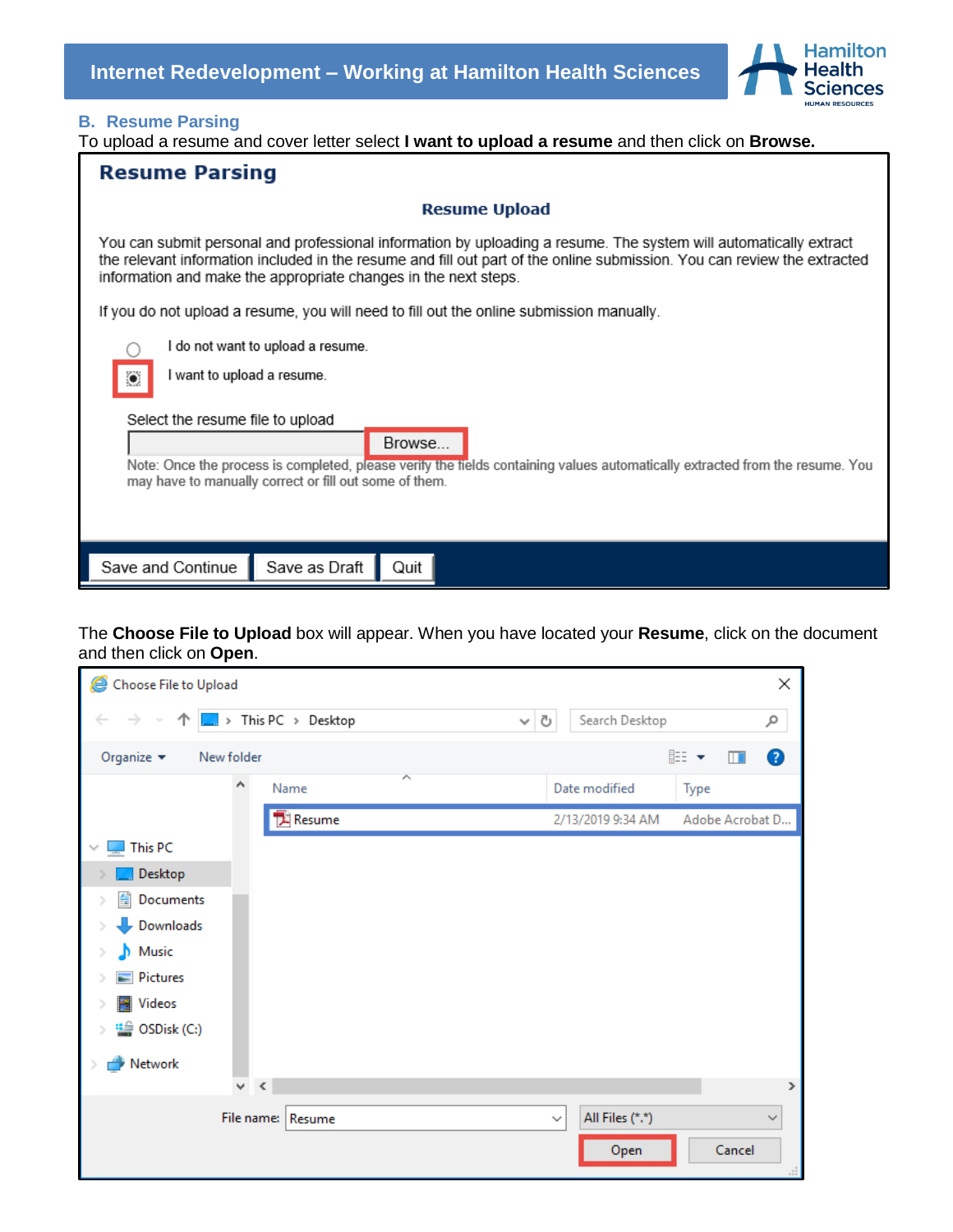

## <span id="page-9-0"></span>**B. Resume Parsing**

To upload a resume and cover letter select **I want to upload a resume** and then click on **Browse.**

| <b>Resume Parsing</b>                                                                                                                                                                                                                                                                                            |  |  |  |  |
|------------------------------------------------------------------------------------------------------------------------------------------------------------------------------------------------------------------------------------------------------------------------------------------------------------------|--|--|--|--|
| <b>Resume Upload</b>                                                                                                                                                                                                                                                                                             |  |  |  |  |
| You can submit personal and professional information by uploading a resume. The system will automatically extract<br>the relevant information included in the resume and fill out part of the online submission. You can review the extracted<br>information and make the appropriate changes in the next steps. |  |  |  |  |
| If you do not upload a resume, you will need to fill out the online submission manually.                                                                                                                                                                                                                         |  |  |  |  |
| I do not want to upload a resume.<br>I want to upload a resume.<br>۷<br>Select the resume file to upload<br>Browse<br>Note: Once the process is completed, please verify the fields containing values automatically extracted from the resume. You<br>may have to manually correct or fill out some of them.     |  |  |  |  |
| Save as Draft<br>Save and Continue<br>Quit                                                                                                                                                                                                                                                                       |  |  |  |  |

The **Choose File to Upload** box will appear. When you have located your **Resume**, click on the document and then click on **Open**.

| Choose File to Upload                                             |                            |                                     | ×                  |
|-------------------------------------------------------------------|----------------------------|-------------------------------------|--------------------|
| 个<br>$\leftarrow$<br>$\rightarrow$<br>$\mathcal{P}_{\mathcal{M}}$ | $\Box$ > This PC > Desktop | Search Desktop<br>Ō<br>$\checkmark$ | مر                 |
| Organize $\blacktriangledown$                                     | New folder                 |                                     | 距 ▼<br>◉<br>$\Box$ |
|                                                                   | ́<br>۸<br>Name             | Date modified                       | Type               |
|                                                                   | <b>A</b> Resume            | 2/13/2019 9:34 AM                   | Adobe Acrobat D    |
| This PC                                                           |                            |                                     |                    |
| Desktop                                                           |                            |                                     |                    |
| 쓸<br>Documents                                                    |                            |                                     |                    |
| Downloads                                                         |                            |                                     |                    |
| Music<br>Ъ                                                        |                            |                                     |                    |
| Pictures                                                          |                            |                                     |                    |
| Videos                                                            |                            |                                     |                    |
| <sup>11</sup> / <sub>2</sub> OSDisk (C:)                          |                            |                                     |                    |
| Network                                                           |                            |                                     |                    |
|                                                                   | $\prec$<br>v.              |                                     | ⋗                  |
|                                                                   | File name: Resume          | All Files (*.*)<br>$\checkmark$     | $\checkmark$       |
|                                                                   |                            | Open                                | Cancel             |
|                                                                   |                            |                                     |                    |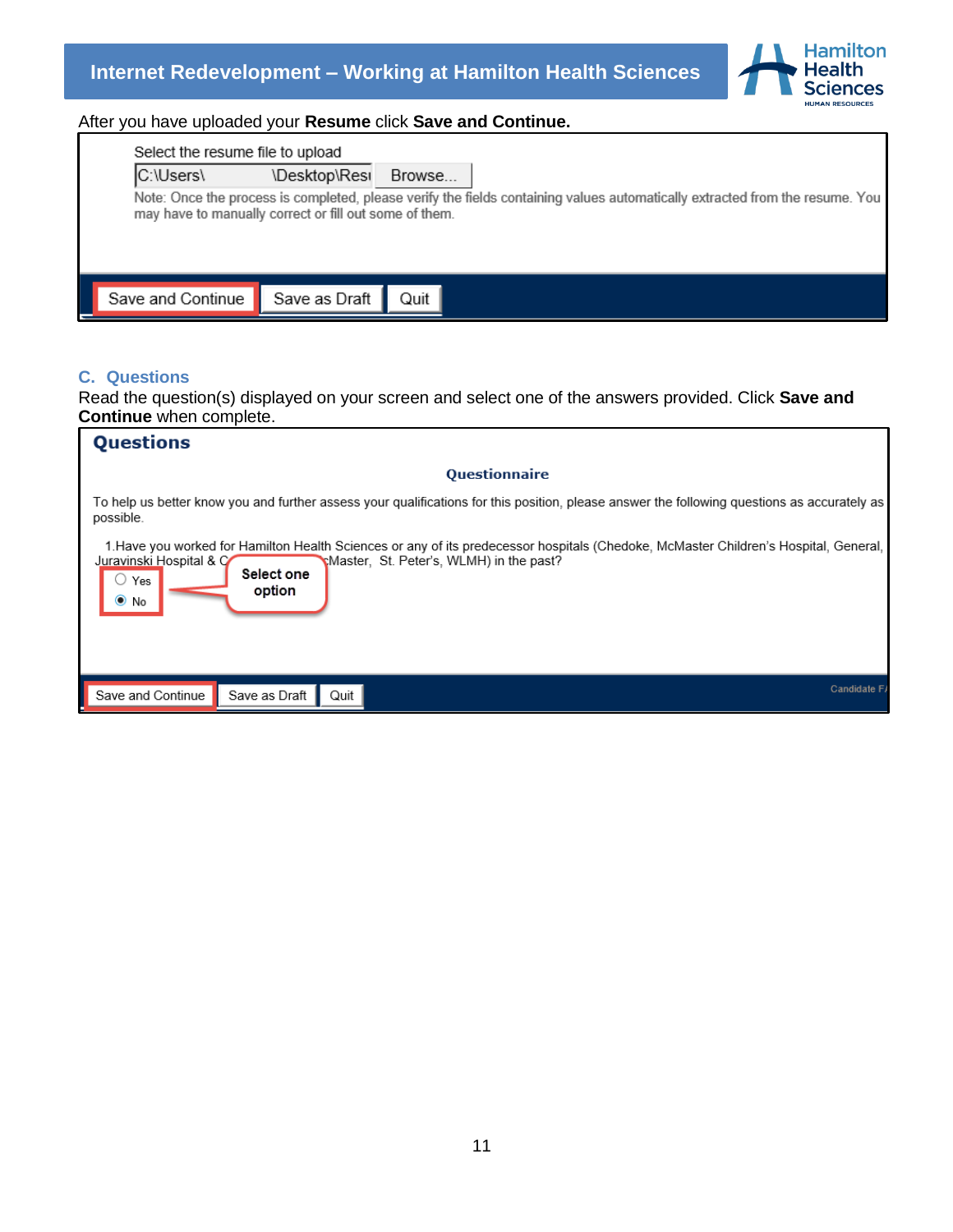

## After you have uploaded your **Resume** click **Save and Continue.**

| Select the resume file to upload                       |               |        |                                                                                                                              |
|--------------------------------------------------------|---------------|--------|------------------------------------------------------------------------------------------------------------------------------|
| C:\Users\                                              | \Desktop\Resi | Browse |                                                                                                                              |
| may have to manually correct or fill out some of them. |               |        | Note: Once the process is completed, please verify the fields containing values automatically extracted from the resume. You |
| Save and Continue                                      | Save as Draft | Quit   |                                                                                                                              |

## <span id="page-10-0"></span>**C. Questions**

Read the question(s) displayed on your screen and select one of the answers provided. Click **Save and Continue** when complete.

| <b>Questions</b>                                                                                                                                                                                                                                            |
|-------------------------------------------------------------------------------------------------------------------------------------------------------------------------------------------------------------------------------------------------------------|
| <b>Questionnaire</b>                                                                                                                                                                                                                                        |
| To help us better know you and further assess your qualifications for this position, please answer the following questions as accurately as<br>possible.                                                                                                    |
| 1. Have you worked for Hamilton Health Sciences or any of its predecessor hospitals (Chedoke, McMaster Children's Hospital, General, I<br>Master, St. Peter's, WLMH) in the past?<br>Juravinski Hospital & C<br>Select one<br>Yes<br>option<br>$\bullet$ No |
| Candidate F.<br>Save and Continue<br>Save as Draft<br>Quit                                                                                                                                                                                                  |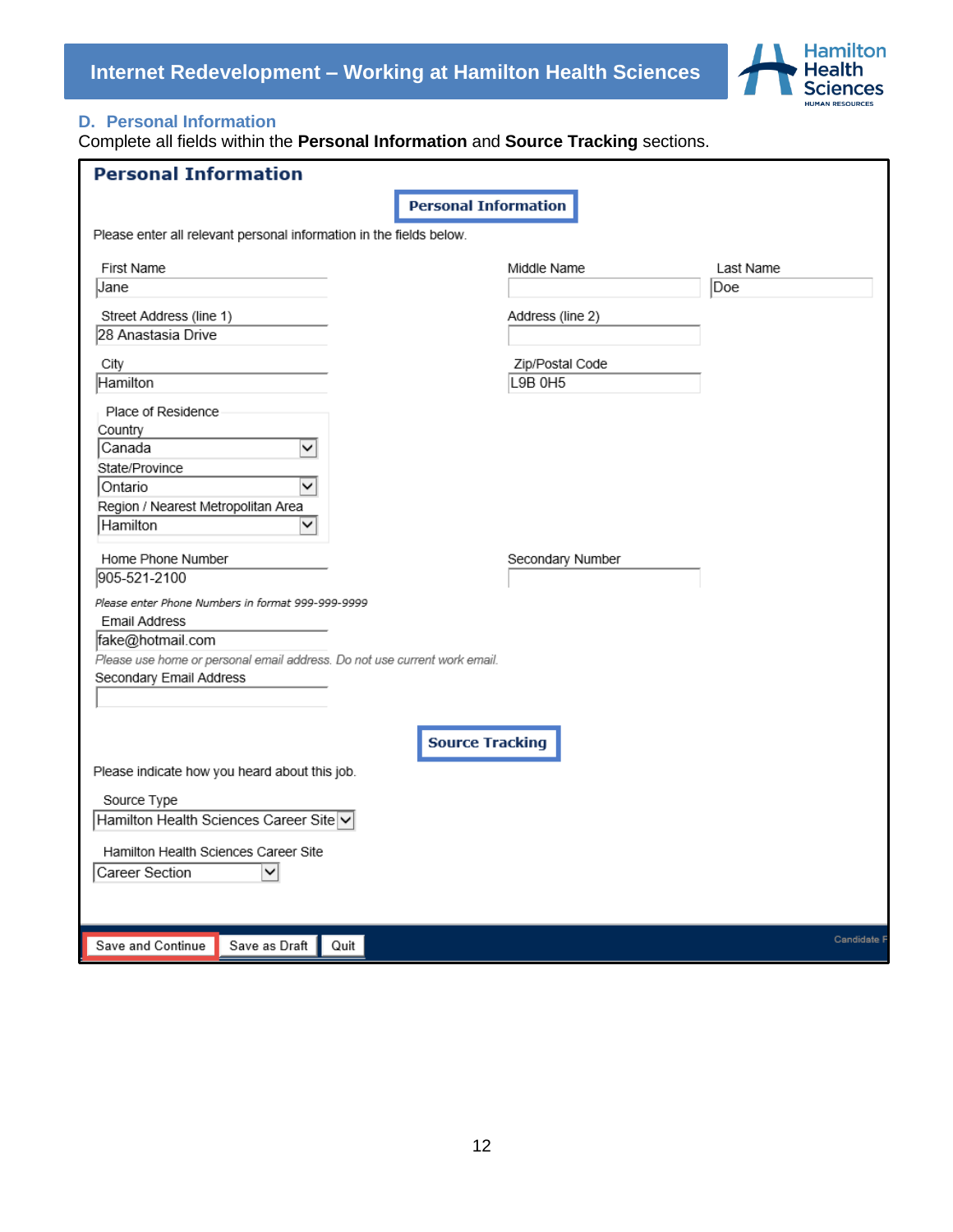

## <span id="page-11-0"></span>**D. Personal Information**

Complete all fields within the **Personal Information** and **Source Tracking** sections.

| <b>Personal Information</b>                                               |                             |                  |             |
|---------------------------------------------------------------------------|-----------------------------|------------------|-------------|
|                                                                           | <b>Personal Information</b> |                  |             |
| Please enter all relevant personal information in the fields below.       |                             |                  |             |
| First Name                                                                | Middle Name                 |                  | Last Name   |
| Jane                                                                      |                             |                  | Doe         |
| Street Address (line 1)                                                   | Address (line 2)            |                  |             |
| 28 Anastasia Drive                                                        |                             |                  |             |
| City                                                                      | Zip/Postal Code             |                  |             |
| Hamilton                                                                  | L9B 0H5                     |                  |             |
| Place of Residence                                                        |                             |                  |             |
| Country                                                                   |                             |                  |             |
| Canada<br>✓                                                               |                             |                  |             |
| State/Province                                                            |                             |                  |             |
| ◡<br>Ontario                                                              |                             |                  |             |
| Region / Nearest Metropolitan Area                                        |                             |                  |             |
| Hamilton<br>◡                                                             |                             |                  |             |
| Home Phone Number                                                         |                             | Secondary Number |             |
| 905-521-2100                                                              |                             |                  |             |
| Please enter Phone Numbers in format 999-999-9999                         |                             |                  |             |
| <b>Email Address</b>                                                      |                             |                  |             |
| fake@hotmail.com                                                          |                             |                  |             |
| Please use home or personal email address. Do not use current work email. |                             |                  |             |
| Secondary Email Address                                                   |                             |                  |             |
|                                                                           |                             |                  |             |
|                                                                           |                             |                  |             |
|                                                                           | <b>Source Tracking</b>      |                  |             |
| Please indicate how you heard about this job.                             |                             |                  |             |
| Source Type                                                               |                             |                  |             |
| Hamilton Health Sciences Career Site v                                    |                             |                  |             |
| Hamilton Health Sciences Career Site                                      |                             |                  |             |
| Career Section<br>◡                                                       |                             |                  |             |
|                                                                           |                             |                  |             |
|                                                                           |                             |                  |             |
| Save and Continue<br>Save as Draft<br>Quit                                |                             |                  | Candidate I |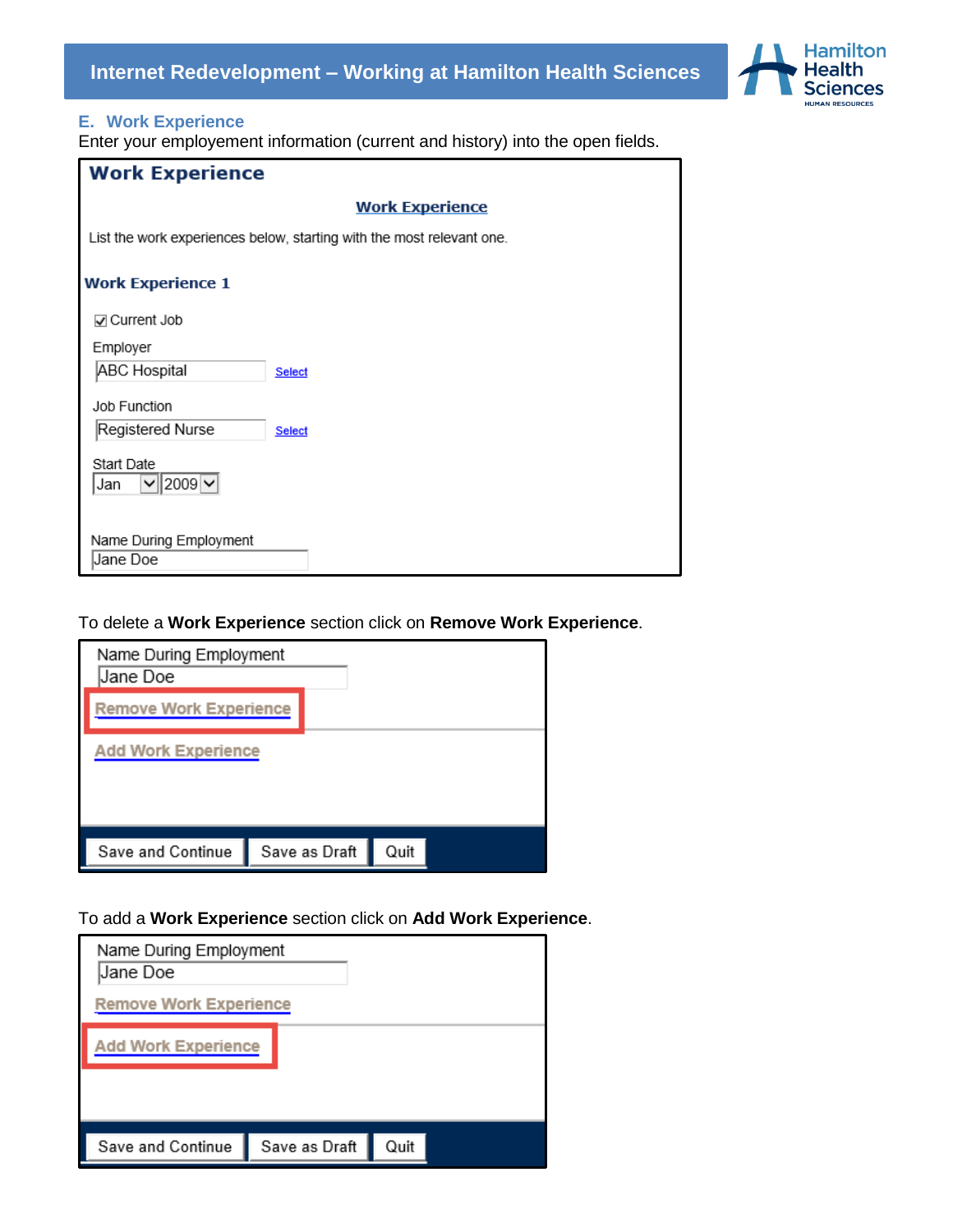



## <span id="page-12-0"></span>**E. Work Experience**

Enter your employement information (current and history) into the open fields.

| <b>Work Experience</b>                                                |  |  |  |
|-----------------------------------------------------------------------|--|--|--|
| <b>Work Experience</b>                                                |  |  |  |
| List the work experiences below, starting with the most relevant one. |  |  |  |
| <b>Work Experience 1</b>                                              |  |  |  |
| ☑ Current Job                                                         |  |  |  |
| Employer                                                              |  |  |  |
| ABC Hospital<br><b>Select</b>                                         |  |  |  |
| Job Function                                                          |  |  |  |
| Registered Nurse<br>Select                                            |  |  |  |
| Start Date<br>$ 2009 \times$<br>◡<br>Jan                              |  |  |  |
| Name During Employment<br>Jane Doe                                    |  |  |  |

To delete a **Work Experience** section click on **Remove Work Experience**.

| Name During Employment<br>Jane Doe |               |      |
|------------------------------------|---------------|------|
| <b>Remove Work Experience</b>      |               |      |
| <b>Add Work Experience</b>         |               |      |
| Save and Continue                  | Save as Draft | Quit |

To add a **Work Experience** section click on **Add Work Experience**.

| Name During Employment<br>Jane Doe |               |      |  |
|------------------------------------|---------------|------|--|
| <b>Remove Work Experience</b>      |               |      |  |
| <b>Add Work Experience</b>         |               |      |  |
|                                    |               |      |  |
|                                    |               |      |  |
| Save and Continue                  | Save as Draft | Quit |  |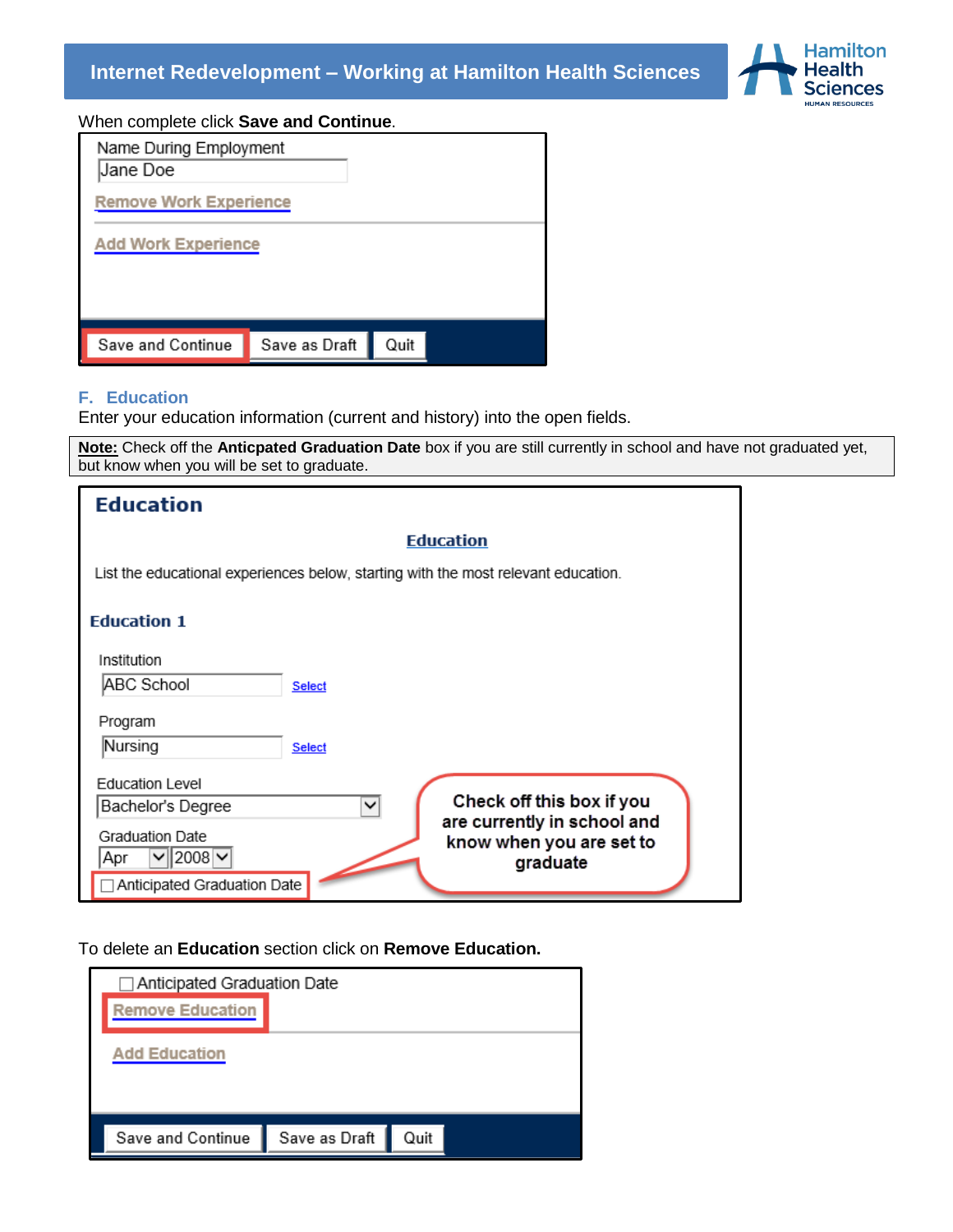

When complete click **Save and Continue**.

| Name During Employment<br>Jane Doe |               |      |  |
|------------------------------------|---------------|------|--|
| <b>Remove Work Experience</b>      |               |      |  |
| <b>Add Work Experience</b>         |               |      |  |
| Save and Continue                  | Save as Draft | Quit |  |

#### <span id="page-13-0"></span>**F. Education**

Enter your education information (current and history) into the open fields.

**Note:** Check off the **Anticpated Graduation Date** box if you are still currently in school and have not graduated yet, but know when you will be set to graduate.

| <b>Education</b>                                                                   |               |                                                         |
|------------------------------------------------------------------------------------|---------------|---------------------------------------------------------|
|                                                                                    |               | <b>Education</b>                                        |
| List the educational experiences below, starting with the most relevant education. |               |                                                         |
| <b>Education 1</b>                                                                 |               |                                                         |
| Institution                                                                        |               |                                                         |
| ABC School                                                                         | <b>Select</b> |                                                         |
| Program                                                                            |               |                                                         |
| Nursing                                                                            | <b>Select</b> |                                                         |
| <b>Education Level</b>                                                             |               |                                                         |
| Bachelor's Degree                                                                  | ◡             | Check off this box if you                               |
| <b>Graduation Date</b>                                                             |               | are currently in school and<br>know when you are set to |
| $2008$ $\vee$<br>Apr                                                               |               | graduate                                                |
| □ Anticipated Graduation Date                                                      |               |                                                         |

To delete an **Education** section click on **Remove Education.** 

| □ Anticipated Graduation Date |               |      |
|-------------------------------|---------------|------|
| <b>Remove Education</b>       |               |      |
| <b>Add Education</b>          |               |      |
| Save and Continue             | Save as Draft | Quit |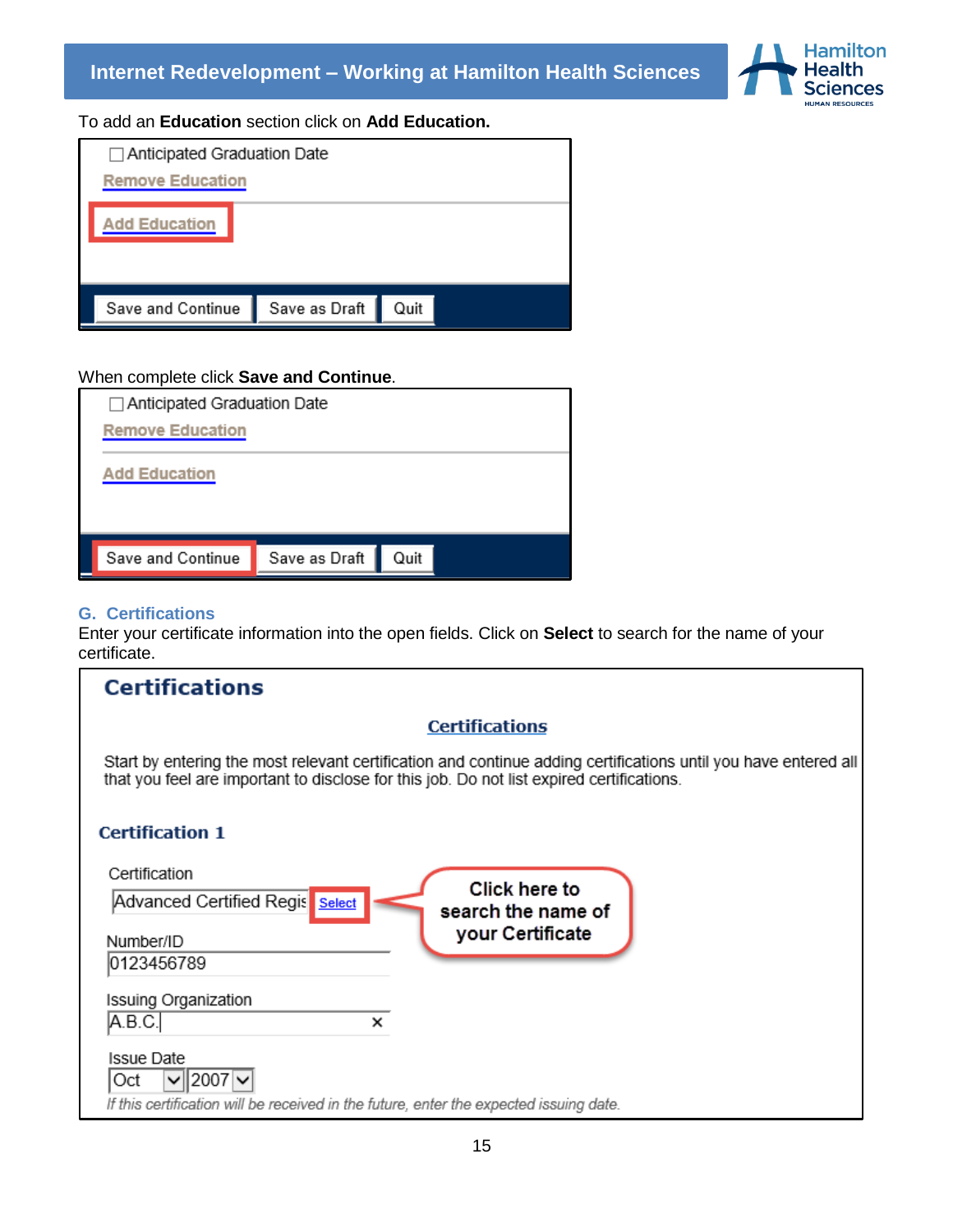

To add an **Education** section click on **Add Education.**

|                      | $\Box$ Anticipated Graduation Date<br><b>Remove Education</b> |               |      |  |
|----------------------|---------------------------------------------------------------|---------------|------|--|
| <b>Add Education</b> |                                                               |               |      |  |
|                      | Save and Continue                                             | Save as Draft | Quit |  |

## When complete click **Save and Continue**.

| $\Box$ Anticipated Graduation Date         |  |  |
|--------------------------------------------|--|--|
| <b>Remove Education</b>                    |  |  |
| <b>Add Education</b>                       |  |  |
|                                            |  |  |
| Quit<br>Save as Draft<br>Save and Continue |  |  |
|                                            |  |  |

## <span id="page-14-0"></span>**G. Certifications**

Enter your certificate information into the open fields. Click on **Select** to search for the name of your certificate.

| <b>Certifications</b>                                                                                                                                                                                        |
|--------------------------------------------------------------------------------------------------------------------------------------------------------------------------------------------------------------|
| <b>Certifications</b>                                                                                                                                                                                        |
| Start by entering the most relevant certification and continue adding certifications until you have entered all<br>that you feel are important to disclose for this job. Do not list expired certifications. |
| <b>Certification 1</b>                                                                                                                                                                                       |
| Certification<br>Click here to<br>Advanced Certified Regis<br>Select<br>search the name of<br>your Certificate<br>Number/ID<br>0123456789                                                                    |
| <b>Issuing Organization</b><br> A.B.C. <br>×<br><b>Issue Date</b>                                                                                                                                            |
| $2007 \times$<br>Oct<br>If this certification will be received in the future, enter the expected issuing date.                                                                                               |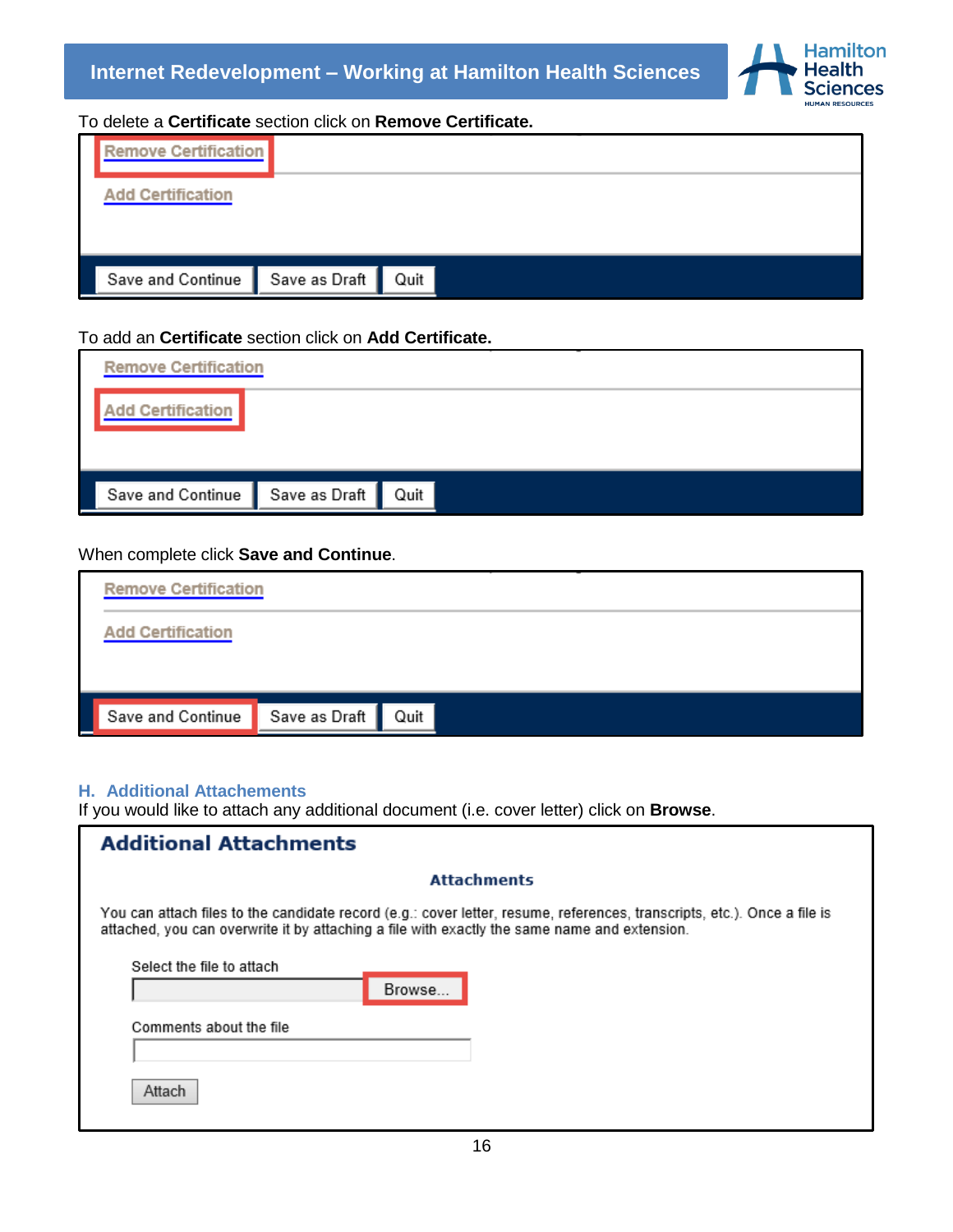

To delete a **Certificate** section click on **Remove Certificate.**

| <b>Remove Certification</b>     |      |  |  |
|---------------------------------|------|--|--|
| <b>Add Certification</b>        |      |  |  |
|                                 |      |  |  |
| Save and Continue Save as Draft | Quit |  |  |

## To add an **Certificate** section click on **Add Certificate.**

| dd Certification                     |  |
|--------------------------------------|--|
|                                      |  |
|                                      |  |
| Save and Continue Save as Draft Quit |  |

#### When complete click **Save and Continue**.

| <b>Remove Certification</b> |                    |
|-----------------------------|--------------------|
| <b>Add Certification</b>    |                    |
|                             |                    |
| Save and Continue           | Save as Draft Quit |

#### <span id="page-15-0"></span>**H. Additional Attachements**

If you would like to attach any additional document (i.e. cover letter) click on **Browse**.

| <b>Additional Attachments</b>                                                                                                                                                                                            |
|--------------------------------------------------------------------------------------------------------------------------------------------------------------------------------------------------------------------------|
| <b>Attachments</b>                                                                                                                                                                                                       |
| You can attach files to the candidate record (e.g.: cover letter, resume, references, transcripts, etc.). Once a file is<br>attached, you can overwrite it by attaching a file with exactly the same name and extension. |
| Select the file to attach<br>Browse                                                                                                                                                                                      |
| Comments about the file                                                                                                                                                                                                  |
| Attach                                                                                                                                                                                                                   |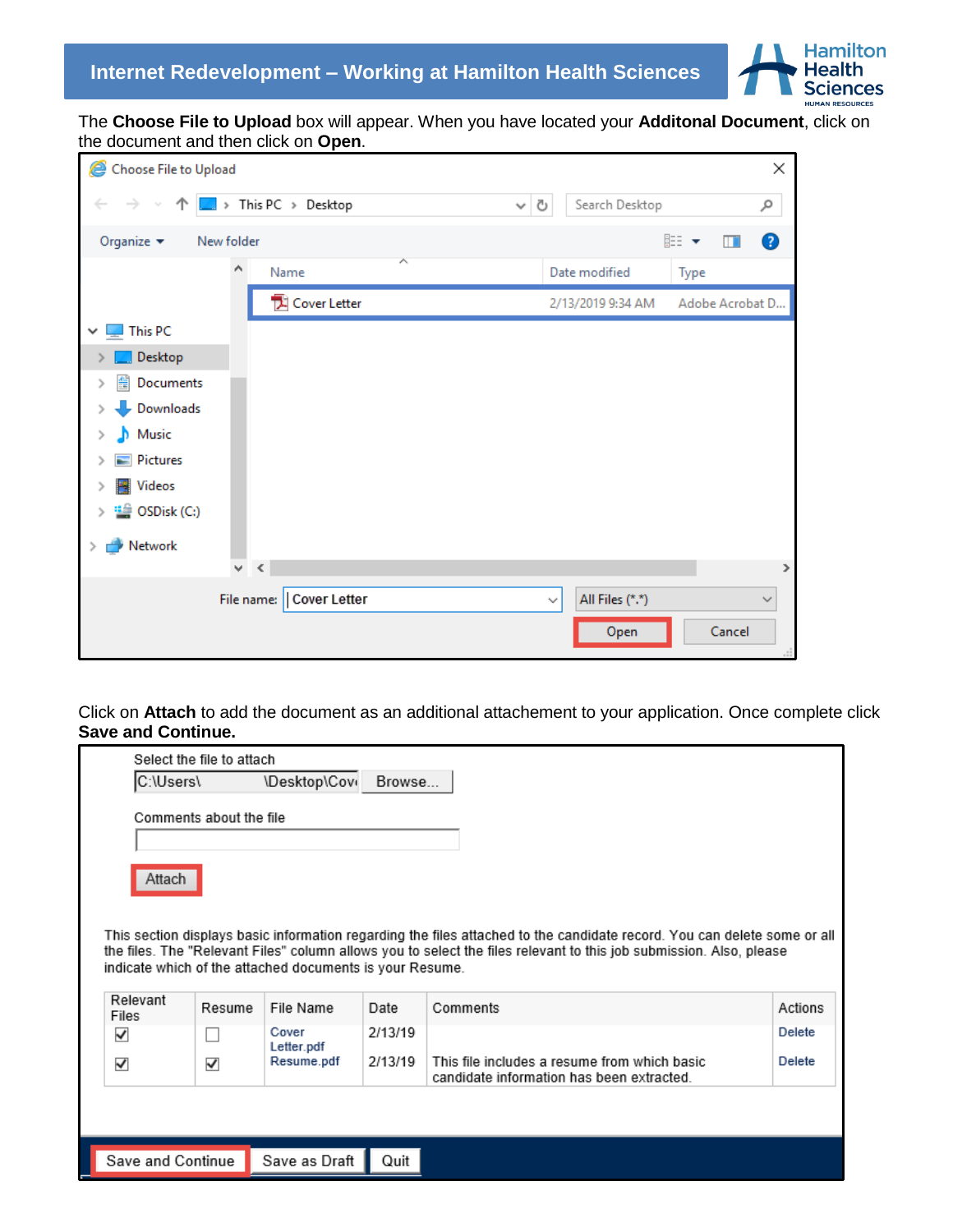

The **Choose File to Upload** box will appear. When you have located your **Additonal Document**, click on the document and then click on **Open**.

| e<br>Choose File to Upload                    |                            |                   |                                 |                 | ×            |
|-----------------------------------------------|----------------------------|-------------------|---------------------------------|-----------------|--------------|
| 个丨<br>←                                       | $\Box$ > This PC > Desktop | Ō<br>$\checkmark$ | Search Desktop                  |                 | مر           |
| Organize $\blacktriangledown$<br>New folder   |                            |                   |                                 | 距→<br>Ш         | ◙            |
| $\land$                                       | Name                       | ᄉ                 | Date modified                   | Type            |              |
|                                               | Cover Letter               |                   | 2/13/2019 9:34 AM               | Adobe Acrobat D |              |
| This PC<br>$\checkmark$                       |                            |                   |                                 |                 |              |
| Desktop                                       |                            |                   |                                 |                 |              |
| 葟<br>Documents<br>⋋                           |                            |                   |                                 |                 |              |
| Downloads                                     |                            |                   |                                 |                 |              |
| $M$ usic<br>⋟                                 |                            |                   |                                 |                 |              |
| Pictures<br>⋟                                 |                            |                   |                                 |                 |              |
| <b>W</b> Videos<br>⋟                          |                            |                   |                                 |                 |              |
| <sup>11</sup> / <sub>2</sub> OSDisk (C:)<br>⋟ |                            |                   |                                 |                 |              |
| Network                                       |                            |                   |                                 |                 |              |
| v<br>$\prec$                                  |                            |                   |                                 |                 | ≯            |
|                                               | File name:   Cover Letter  |                   | All Files (*.*)<br>$\checkmark$ |                 | $\checkmark$ |
|                                               |                            |                   | Open                            | Cancel          |              |

Click on **Attach** to add the document as an additional attachement to your application. Once complete click **Save and Continue.**

| Select the file to attach |                         |                                                          |         |                                                                                                                          |         |
|---------------------------|-------------------------|----------------------------------------------------------|---------|--------------------------------------------------------------------------------------------------------------------------|---------|
| C:\Users\                 |                         | \Desktop\Cov                                             | Browse  |                                                                                                                          |         |
|                           | Comments about the file |                                                          |         |                                                                                                                          |         |
|                           |                         |                                                          |         |                                                                                                                          |         |
| Attach                    |                         |                                                          |         |                                                                                                                          |         |
|                           |                         |                                                          |         |                                                                                                                          |         |
|                           |                         |                                                          |         | This section displays basic information regarding the files attached to the candidate record. You can delete some or all |         |
|                           |                         |                                                          |         | the files. The "Relevant Files" column allows you to select the files relevant to this job submission. Also, please      |         |
|                           |                         | indicate which of the attached documents is your Resume. |         |                                                                                                                          |         |
| Relevant<br>Files         | Resume                  | File Name                                                | Date    | Comments                                                                                                                 | Actions |
| ✓                         |                         | Cover<br>Letter.pdf                                      | 2/13/19 |                                                                                                                          |         |
|                           |                         |                                                          |         |                                                                                                                          | Delete  |
| ✓                         | √                       | Resume.pdf                                               | 2/13/19 | This file includes a resume from which basic.<br>candidate information has been extracted.                               | Delete  |
|                           |                         |                                                          |         |                                                                                                                          |         |
|                           |                         |                                                          |         |                                                                                                                          |         |

Save and Continue

Save as Draft

Quit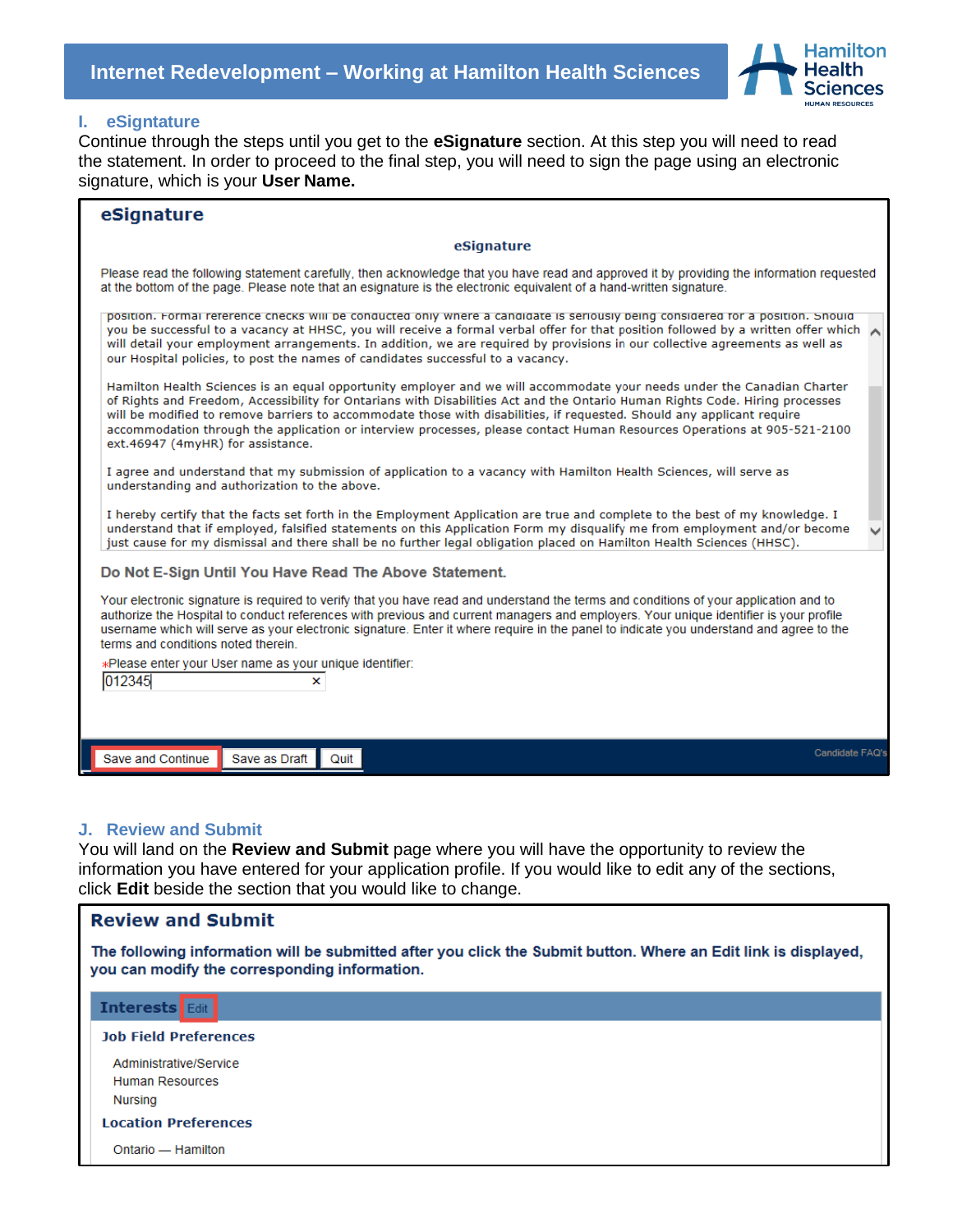

#### <span id="page-17-0"></span>**I. eSigntature**

Continue through the steps until you get to the **eSignature** section. At this step you will need to read the statement. In order to proceed to the final step, you will need to sign the page using an electronic signature, which is your **User Name.**

| eSignature                                                                                                                                                                                                                                                                                                                                                                                                                                                                                                                                        |                 |
|---------------------------------------------------------------------------------------------------------------------------------------------------------------------------------------------------------------------------------------------------------------------------------------------------------------------------------------------------------------------------------------------------------------------------------------------------------------------------------------------------------------------------------------------------|-----------------|
| eSignature                                                                                                                                                                                                                                                                                                                                                                                                                                                                                                                                        |                 |
| Please read the following statement carefully, then acknowledge that you have read and approved it by providing the information requested<br>at the bottom of the page. Please note that an esignature is the electronic equivalent of a hand-written signature.                                                                                                                                                                                                                                                                                  |                 |
| position. Formal reference checks will be conducted only where a candidate is seriously being considered for a position. Snould<br>you be successful to a vacancy at HHSC, you will receive a formal verbal offer for that position followed by a written offer which A<br>will detail your employment arrangements. In addition, we are required by provisions in our collective agreements as well as<br>our Hospital policies, to post the names of candidates successful to a vacancy.                                                        |                 |
| Hamilton Health Sciences is an equal opportunity employer and we will accommodate your needs under the Canadian Charter<br>of Rights and Freedom, Accessibility for Ontarians with Disabilities Act and the Ontario Human Rights Code. Hiring processes<br>will be modified to remove barriers to accommodate those with disabilities, if requested. Should any applicant require<br>accommodation through the application or interview processes, please contact Human Resources Operations at 905-521-2100<br>ext.46947 (4myHR) for assistance. |                 |
| I agree and understand that my submission of application to a vacancy with Hamilton Health Sciences, will serve as<br>understanding and authorization to the above.                                                                                                                                                                                                                                                                                                                                                                               |                 |
| I hereby certify that the facts set forth in the Employment Application are true and complete to the best of my knowledge. I<br>understand that if employed, falsified statements on this Application Form my disqualify me from employment and/or become<br>just cause for my dismissal and there shall be no further legal obligation placed on Hamilton Health Sciences (HHSC).                                                                                                                                                                |                 |
| Do Not E-Sign Until You Have Read The Above Statement.                                                                                                                                                                                                                                                                                                                                                                                                                                                                                            |                 |
| Your electronic signature is required to verify that you have read and understand the terms and conditions of your application and to<br>authorize the Hospital to conduct references with previous and current managers and employers. Your unique identifier is your profile<br>username which will serve as your electronic signature. Enter it where require in the panel to indicate you understand and agree to the<br>terms and conditions noted therein.                                                                                  |                 |
| *Please enter your User name as your unique identifier:<br>012345<br>×                                                                                                                                                                                                                                                                                                                                                                                                                                                                            |                 |
|                                                                                                                                                                                                                                                                                                                                                                                                                                                                                                                                                   |                 |
|                                                                                                                                                                                                                                                                                                                                                                                                                                                                                                                                                   |                 |
| Save as Draft<br>Quit<br>Save and Continue                                                                                                                                                                                                                                                                                                                                                                                                                                                                                                        | Candidate FAQ's |

#### <span id="page-17-1"></span>**J. Review and Submit**

You will land on the **Review and Submit** page where you will have the opportunity to review the information you have entered for your application profile. If you would like to edit any of the sections, click **Edit** beside the section that you would like to change.

| <b>Review and Submit</b>                                                                                                                                         |  |  |  |
|------------------------------------------------------------------------------------------------------------------------------------------------------------------|--|--|--|
| The following information will be submitted after you click the Submit button. Where an Edit link is displayed,<br>you can modify the corresponding information. |  |  |  |
| <b>Interests</b> Edit                                                                                                                                            |  |  |  |
| <b>Job Field Preferences</b>                                                                                                                                     |  |  |  |
| Administrative/Service                                                                                                                                           |  |  |  |
| Human Resources                                                                                                                                                  |  |  |  |
| Nursing                                                                                                                                                          |  |  |  |
| <b>Location Preferences</b>                                                                                                                                      |  |  |  |
| Ontario - Hamilton                                                                                                                                               |  |  |  |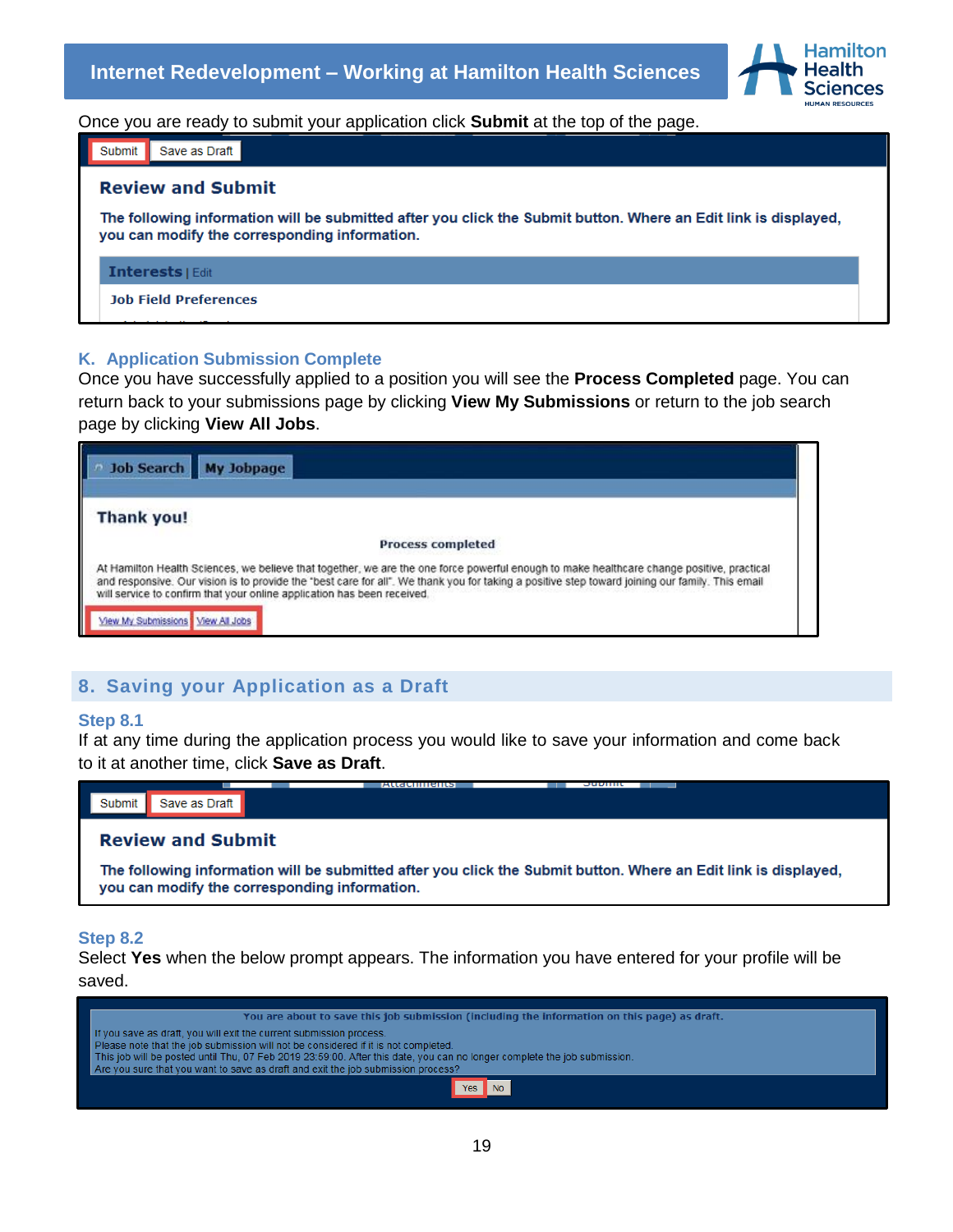

Once you are ready to submit your application click **Submit** at the top of the page.

| Save as Draft<br>Submit                                                                                                                                          |  |  |
|------------------------------------------------------------------------------------------------------------------------------------------------------------------|--|--|
| <b>Review and Submit</b>                                                                                                                                         |  |  |
| The following information will be submitted after you click the Submit button. Where an Edit link is displayed,<br>you can modify the corresponding information. |  |  |
| <b>Interests   Edit</b>                                                                                                                                          |  |  |
| <b>Job Field Preferences</b>                                                                                                                                     |  |  |

#### <span id="page-18-0"></span>**K. Application Submission Complete**

Once you have successfully applied to a position you will see the **Process Completed** page. You can return back to your submissions page by clicking **View My Submissions** or return to the job search page by clicking **View All Jobs**.

| Job Search My Jobpage                                                                                                                                                                                                                                                                                                                                                   |  |
|-------------------------------------------------------------------------------------------------------------------------------------------------------------------------------------------------------------------------------------------------------------------------------------------------------------------------------------------------------------------------|--|
| Thank you!                                                                                                                                                                                                                                                                                                                                                              |  |
| <b>Process completed</b>                                                                                                                                                                                                                                                                                                                                                |  |
| At Hamilton Health Sciences, we believe that together, we are the one force powerful enough to make healthcare change positive, practical<br>and responsive. Our vision is to provide the 'best care for all". We thank you for taking a positive step toward joining our family. This email<br>will service to confirm that your online application has been received. |  |
| View My Submissions   View All Jobs                                                                                                                                                                                                                                                                                                                                     |  |

## **8. Saving your Application as a Draft**

#### **Step 8.1**

If at any time during the application process you would like to save your information and come back to it at another time, click **Save as Draft**.



#### **Step 8.2**

Select **Yes** when the below prompt appears. The information you have entered for your profile will be saved.

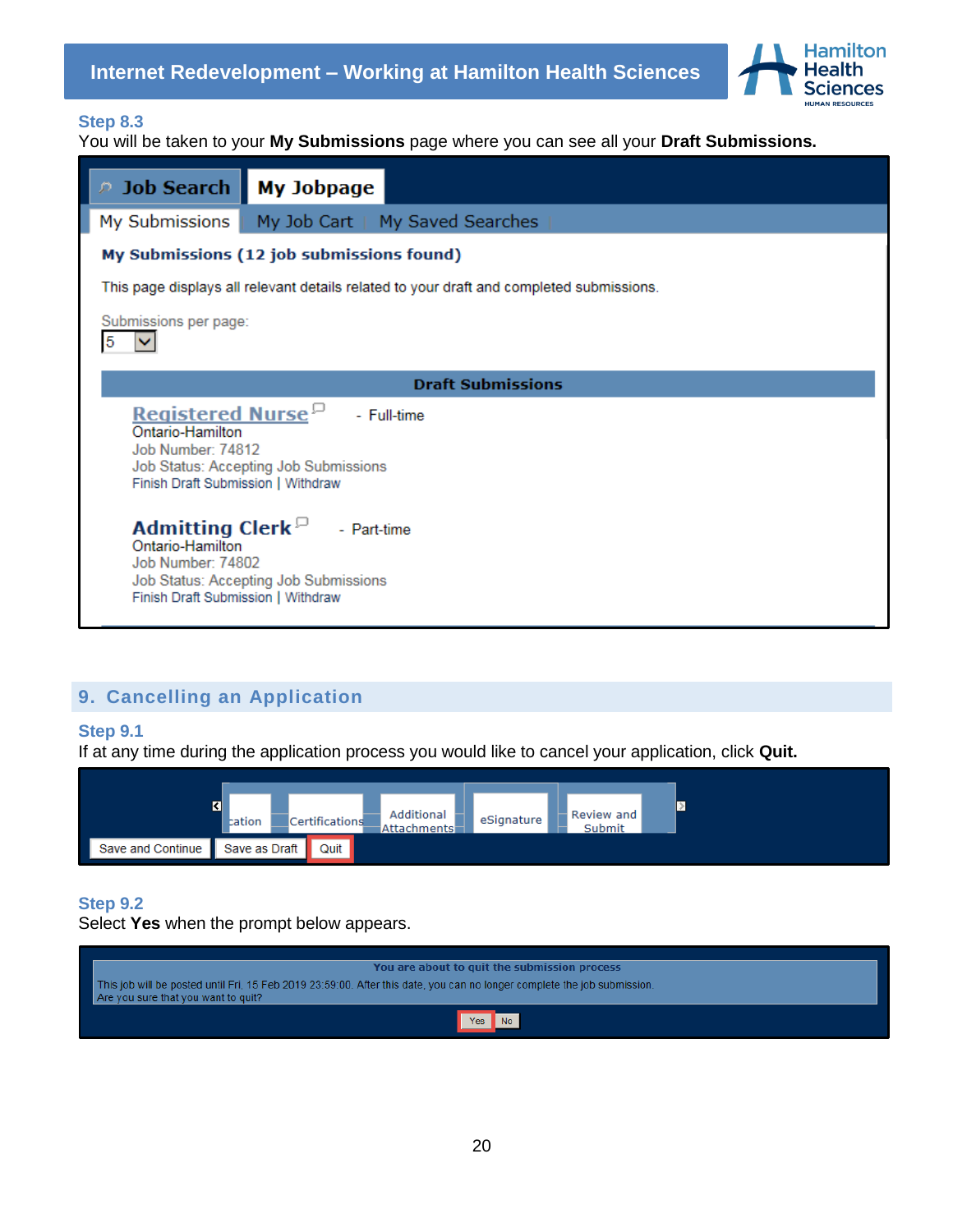

### **Step 8.3**

You will be taken to your **My Submissions** page where you can see all your **Draft Submissions.**

| <b>P</b> Job Search                                                                                                 | <b>My Jobpage</b>                                                                                        |  |  |
|---------------------------------------------------------------------------------------------------------------------|----------------------------------------------------------------------------------------------------------|--|--|
| My Submissions                                                                                                      | My Job Cart   My Saved Searches                                                                          |  |  |
|                                                                                                                     | My Submissions (12 job submissions found)                                                                |  |  |
|                                                                                                                     | This page displays all relevant details related to your draft and completed submissions.                 |  |  |
| Submissions per page:<br>5                                                                                          |                                                                                                          |  |  |
|                                                                                                                     | <b>Draft Submissions</b>                                                                                 |  |  |
| <b>Registered Nurse</b> <sup>D</sup><br>Ontario-Hamilton<br>Job Number: 74812<br>Finish Draft Submission   Withdraw | - Full-time<br>Job Status: Accepting Job Submissions                                                     |  |  |
| Ontario-Hamilton<br>Job Number: 74802<br>Finish Draft Submission   Withdraw                                         | <b>Admitting Clerk</b> <sup><math>\Box</math></sup> - Part-time<br>Job Status: Accepting Job Submissions |  |  |

## **9. Cancelling an Application**

### <span id="page-19-0"></span>**Step 9.1**

If at any time during the application process you would like to cancel your application, click **Quit.** 



## **Step 9.2**

Select **Yes** when the prompt below appears.

| You are about to quit the submission process                                                                                                                    |
|-----------------------------------------------------------------------------------------------------------------------------------------------------------------|
| This job will be posted until Fri, 15 Feb 2019 23:59:00. After this date, you can no longer complete the job submission.<br>Are you sure that you want to quit? |
| <b>Yes</b><br><b>No</b>                                                                                                                                         |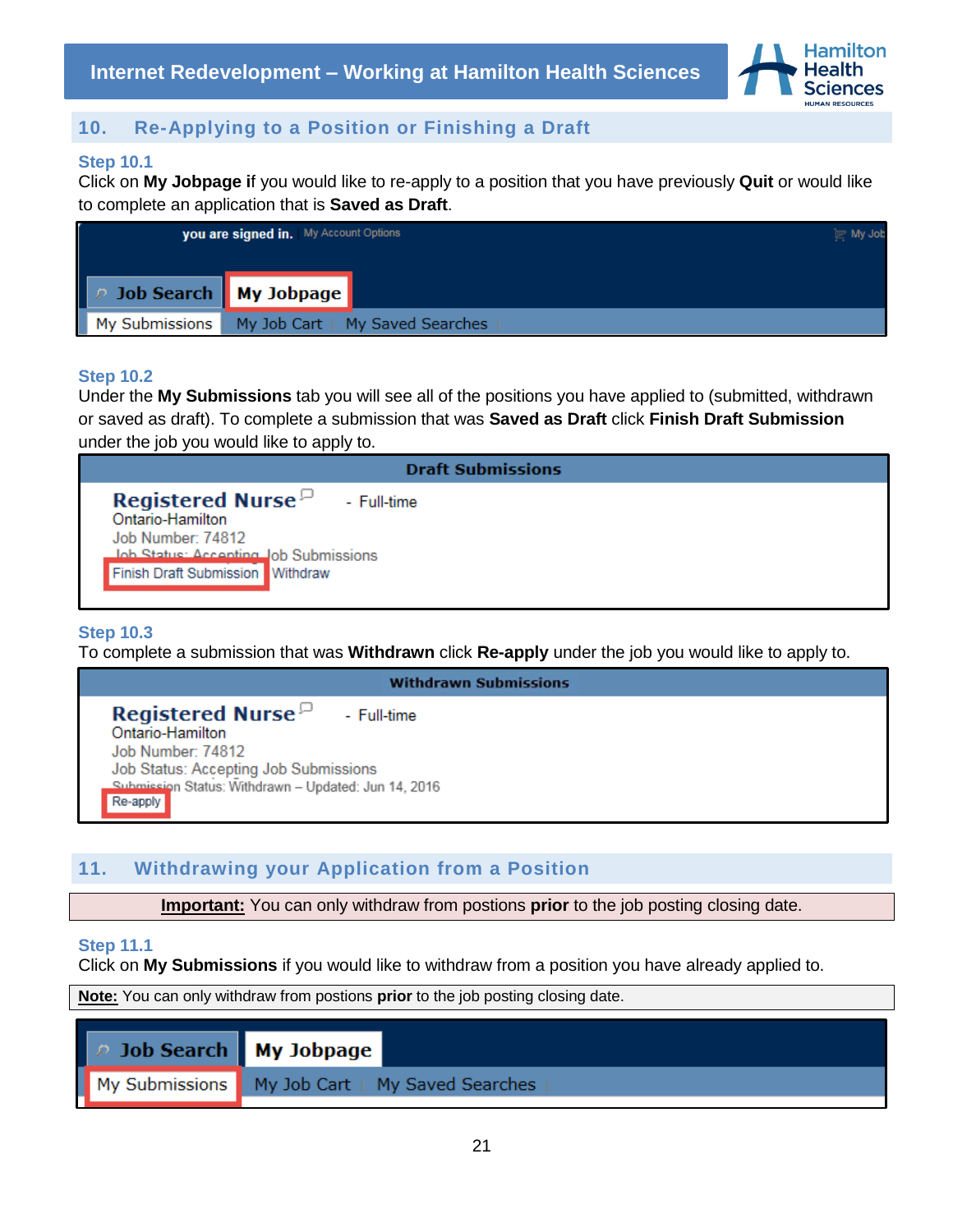

## **10. Re-Applying to a Position or Finishing a Draft**

### <span id="page-20-0"></span>**Step 10.1**

Click on **My Jobpage i**f you would like to re-apply to a position that you have previously **Quit** or would like to complete an application that is **Saved as Draft**.



#### **Step 10.2**

Under the **My Submissions** tab you will see all of the positions you have applied to (submitted, withdrawn or saved as draft). To complete a submission that was **Saved as Draft** click **Finish Draft Submission**  under the job you would like to apply to.

| <b>Draft Submissions</b>                                                         |
|----------------------------------------------------------------------------------|
| <b>Registered Nurse</b> $\Box$ - Full-time<br>Ontario-Hamilton                   |
| Job Number: 74812                                                                |
| <b>Job Status: Accepting Job Submissions</b><br>Finish Draft Submission Withdraw |
|                                                                                  |

### **Step 10.3**

To complete a submission that was **Withdrawn** click **Re-apply** under the job you would like to apply to.

| <b>Withdrawn Submissions</b>                         |
|------------------------------------------------------|
| <b>Registered Nurse</b> $\Box$ - Full-time           |
| Ontario-Hamilton                                     |
| Job Number: 74812                                    |
| Job Status: Accepting Job Submissions                |
| Submission Status: Withdrawn - Updated: Jun 14, 2016 |
| Re-apply                                             |

## **11. Withdrawing your Application from a Position**

**Important:** You can only withdraw from postions **prior** to the job posting closing date.

#### <span id="page-20-1"></span>**Step 11.1**

Click on **My Submissions** if you would like to withdraw from a position you have already applied to.

**Note:** You can only withdraw from postions **prior** to the job posting closing date.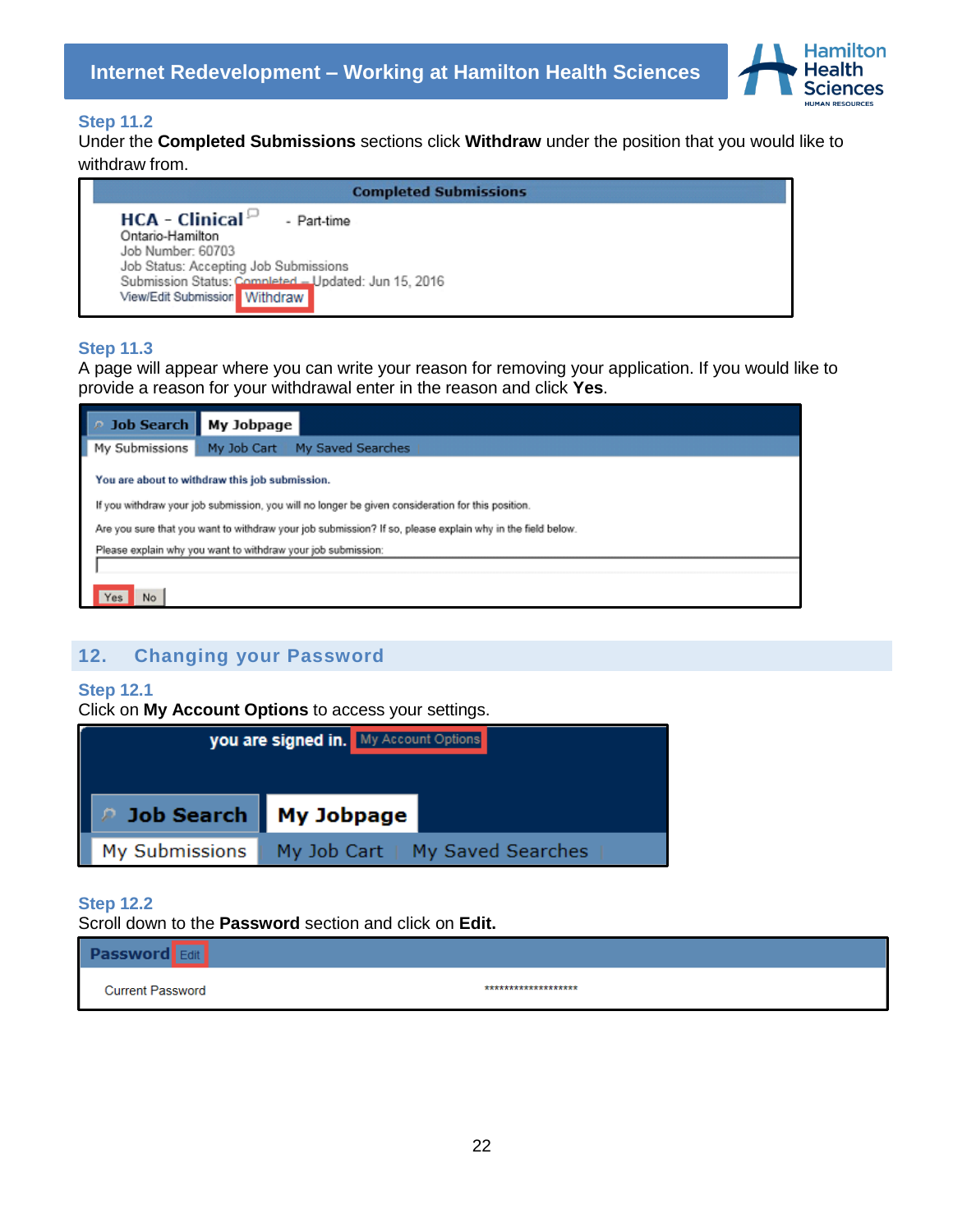

### **Step 11.2**

Under the **Completed Submissions** sections click **Withdraw** under the position that you would like to withdraw from.

| <b>Completed Submissions</b>                                                                                             |
|--------------------------------------------------------------------------------------------------------------------------|
| $HCA - Clinical^{\Box}$<br>- Part-time<br>Ontario-Hamilton<br>Job Number: 60703<br>Job Status: Accepting Job Submissions |
| Submission Status: Completed - Updated: Jun 15, 2016<br>View/Edit Submission Withdraw                                    |

#### **Step 11.3**

A page will appear where you can write your reason for removing your application. If you would like to provide a reason for your withdrawal enter in the reason and click **Yes**.

| D Job Search   My Jobpage                                                                                 |                                                              |  |  |  |  |
|-----------------------------------------------------------------------------------------------------------|--------------------------------------------------------------|--|--|--|--|
| My Submissions                                                                                            | My Job Cart<br>My Saved Searches                             |  |  |  |  |
|                                                                                                           | You are about to withdraw this job submission.               |  |  |  |  |
| If you withdraw your job submission, you will no longer be given consideration for this position.         |                                                              |  |  |  |  |
| Are you sure that you want to withdraw your job submission? If so, please explain why in the field below. |                                                              |  |  |  |  |
|                                                                                                           | Please explain why you want to withdraw your job submission: |  |  |  |  |
|                                                                                                           |                                                              |  |  |  |  |
| Yes<br>No                                                                                                 |                                                              |  |  |  |  |

## <span id="page-21-0"></span>**12. Changing your Password**

#### **Step 12.1**

Click on **My Account Options** to access your settings.

|                                | you are signed in. My Account Options |
|--------------------------------|---------------------------------------|
| <b>2 Job Search My Jobpage</b> |                                       |
| My Submissions                 | My Job Cart   My Saved Searches       |

#### **Step 12.2**

Scroll down to the **Password** section and click on **Edit.**

#### **Password** Edit

**Current Password** 

\*\*\*\*\*\*\*\*\*\*\*\*\*\*\*\*\*\*\*